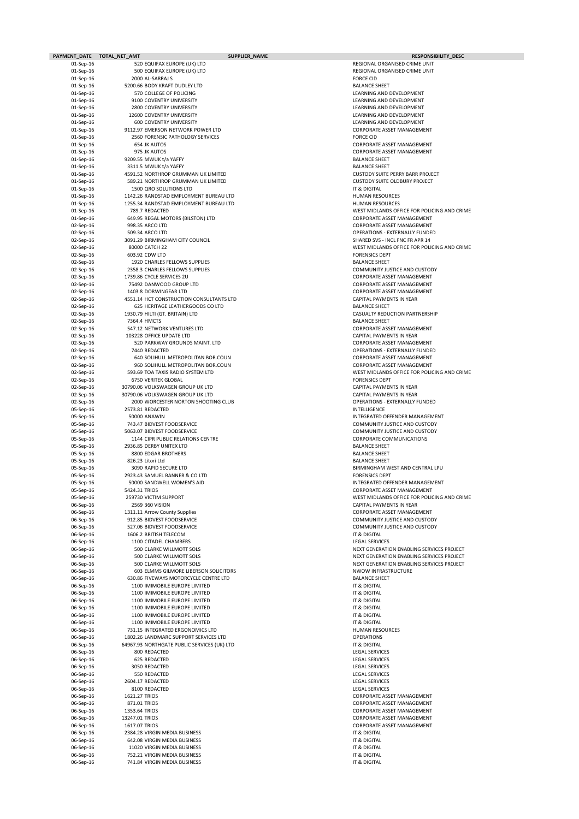| PAYMENT DATE TOTAL NET AMT |                | SUPPLIER_NAME                                                                        | <b>RESPONSIBILITY_DESC</b>                                                             |
|----------------------------|----------------|--------------------------------------------------------------------------------------|----------------------------------------------------------------------------------------|
| 01-Sep-16                  |                | 520 EQUIFAX EUROPE (UK) LTD                                                          | REGIONAL ORGANISED CRIME UNIT                                                          |
| 01-Sep-16                  |                | 500 EQUIFAX EUROPE (UK) LTD                                                          | REGIONAL ORGANISED CRIME UNIT                                                          |
| 01-Sep-16<br>01-Sep-16     |                | 2000 AL-SARRAJ S<br>5200.66 BODY KRAFT DUDLEY LTD                                    | <b>FORCE CID</b><br><b>BALANCE SHEET</b>                                               |
| 01-Sep-16                  |                | 570 COLLEGE OF POLICING                                                              | LEARNING AND DEVELOPMENT                                                               |
| 01-Sep-16                  |                | 9100 COVENTRY UNIVERSITY                                                             | LEARNING AND DEVELOPMENT                                                               |
| 01-Sep-16                  |                | <b>2800 COVENTRY UNIVERSITY</b>                                                      | LEARNING AND DEVELOPMENT                                                               |
| 01-Sep-16                  |                | 12600 COVENTRY UNIVERSITY                                                            | LEARNING AND DEVELOPMENT                                                               |
| 01-Sep-16<br>01-Sep-16     |                | <b>600 COVENTRY UNIVERSITY</b><br>9112.97 EMERSON NETWORK POWER LTD                  | LEARNING AND DEVELOPMENT<br><b>CORPORATE ASSET MANAGEMENT</b>                          |
| 01-Sep-16                  |                | 2560 FORENSIC PATHOLOGY SERVICES                                                     | <b>FORCE CID</b>                                                                       |
| 01-Sep-16                  |                | 654 JK AUTOS                                                                         | <b>CORPORATE ASSET MANAGEMENT</b>                                                      |
| 01-Sep-16                  |                | 975 JK AUTOS                                                                         | <b>CORPORATE ASSET MANAGEMENT</b>                                                      |
| 01-Sep-16                  |                | 9209.55 MWUK t/a YAFFY                                                               | <b>BALANCE SHEET</b>                                                                   |
| 01-Sep-16                  |                | 3311.5 MWUK t/a YAFFY                                                                | <b>BALANCE SHEET</b>                                                                   |
| 01-Sep-16<br>01-Sep-16     |                | 4591.52 NORTHROP GRUMMAN UK LIMITED<br>589.21 NORTHROP GRUMMAN UK LIMITED            | <b>CUSTODY SUITE PERRY BARR PROJECT</b><br><b>CUSTODY SUITE OLDBURY PROJECT</b>        |
| 01-Sep-16                  |                | 1500 QRO SOLUTIONS LTD                                                               | IT & DIGITAL                                                                           |
| 01-Sep-16                  |                | 1142.26 RANDSTAD EMPLOYMENT BUREAU LTD                                               | <b>HUMAN RESOURCES</b>                                                                 |
| 01-Sep-16                  |                | 1255.34 RANDSTAD EMPLOYMENT BUREAU LTD                                               | <b>HUMAN RESOURCES</b>                                                                 |
| 01-Sep-16                  |                | 789.7 REDACTED                                                                       | WEST MIDLANDS OFFICE FOR POLICING AND CRIME                                            |
| 01-Sep-16<br>02-Sep-16     |                | 649.95 REGAL MOTORS (BILSTON) LTD<br>998.35 ARCO LTD                                 | <b>CORPORATE ASSET MANAGEMENT</b><br><b>CORPORATE ASSET MANAGEMENT</b>                 |
| 02-Sep-16                  |                | 509.34 ARCO LTD                                                                      | <b>OPERATIONS - EXTERNALLY FUNDED</b>                                                  |
| 02-Sep-16                  |                | 3091.29 BIRMINGHAM CITY COUNCIL                                                      | SHARED SVS - INCL FNC FR APR 14                                                        |
| 02-Sep-16                  |                | 80000 CATCH 22                                                                       | WEST MIDLANDS OFFICE FOR POLICING AND CRIME                                            |
| 02-Sep-16                  |                | 603.92 CDW LTD                                                                       | <b>FORENSICS DEPT</b>                                                                  |
| 02-Sep-16                  |                | 1920 CHARLES FELLOWS SUPPLIES                                                        | <b>BALANCE SHEET</b>                                                                   |
| 02-Sep-16<br>02-Sep-16     |                | 2358.3 CHARLES FELLOWS SUPPLIES<br>1739.86 CYCLE SERVICES 2U                         | <b>COMMUNITY JUSTICE AND CUSTODY</b><br><b>CORPORATE ASSET MANAGEMENT</b>              |
| 02-Sep-16                  |                | 75492 DANWOOD GROUP LTD                                                              | <b>CORPORATE ASSET MANAGEMENT</b>                                                      |
| 02-Sep-16                  |                | 1403.8 DORWINGEAR LTD                                                                | <b>CORPORATE ASSET MANAGEMENT</b>                                                      |
| 02-Sep-16                  |                | 4551.14 HCT CONSTRUCTION CONSULTANTS LTD                                             | CAPITAL PAYMENTS IN YEAR                                                               |
| 02-Sep-16                  |                | 625 HERITAGE LEATHERGOODS CO LTD                                                     | <b>BALANCE SHEET</b>                                                                   |
| 02-Sep-16<br>02-Sep-16     |                | 1930.79 HILTI (GT. BRITAIN) LTD<br>7364.4 HMCTS                                      | CASUALTY REDUCTION PARTNERSHIP<br><b>BALANCE SHEET</b>                                 |
| $02$ -Sep-16               |                | 547.12 NETWORK VENTURES LTD                                                          | <b>CORPORATE ASSET MANAGEMENT</b>                                                      |
| $02$ -Sep-16               |                | 103228 OFFICE UPDATE LTD                                                             | <b>CAPITAL PAYMENTS IN YEAR</b>                                                        |
| 02-Sep-16                  |                | 520 PARKWAY GROUNDS MAINT. LTD                                                       | <b>CORPORATE ASSET MANAGEMENT</b>                                                      |
| 02-Sep-16                  |                | 7440 REDACTED                                                                        | <b>OPERATIONS - EXTERNALLY FUNDED</b>                                                  |
| 02-Sep-16                  |                | 640 SOLIHULL METROPOLITAN BOR.COUN                                                   | <b>CORPORATE ASSET MANAGEMENT</b>                                                      |
| 02-Sep-16<br>02-Sep-16     |                | 960 SOLIHULL METROPOLITAN BOR.COUN<br>593.69 TOA TAXIS RADIO SYSTEM LTD              | <b>CORPORATE ASSET MANAGEMENT</b><br>WEST MIDLANDS OFFICE FOR POLICING AND CRIME       |
| 02-Sep-16                  |                | <b>6750 VERITEK GLOBAL</b>                                                           | <b>FORENSICS DEPT</b>                                                                  |
| 02-Sep-16                  |                | 30790.06 VOLKSWAGEN GROUP UK LTD                                                     | <b>CAPITAL PAYMENTS IN YEAR</b>                                                        |
| 02-Sep-16                  |                | 30790.06 VOLKSWAGEN GROUP UK LTD                                                     | CAPITAL PAYMENTS IN YEAR                                                               |
| 02-Sep-16                  |                | 2000 WORCESTER NORTON SHOOTING CLUB                                                  | <b>OPERATIONS - EXTERNALLY FUNDED</b>                                                  |
| 05-Sep-16                  |                | 2573.81 REDACTED<br>50000 ANAWIN                                                     | <b>INTELLIGENCE</b><br>INTEGRATED OFFENDER MANAGEMENT                                  |
| 05-Sep-16<br>05-Sep-16     |                | 743.47 BIDVEST FOODSERVICE                                                           | <b>COMMUNITY JUSTICE AND CUSTODY</b>                                                   |
| 05-Sep-16                  |                | 5063.07 BIDVEST FOODSERVICE                                                          | <b>COMMUNITY JUSTICE AND CUSTODY</b>                                                   |
| 05-Sep-16                  |                | 1144 CIPR PUBLIC RELATIONS CENTRE                                                    | <b>CORPORATE COMMUNICATIONS</b>                                                        |
| 05-Sep-16                  |                | 2936.85 DERBY UNITEX LTD                                                             | <b>BALANCE SHEET</b>                                                                   |
| 05-Sep-16                  |                | 8800 EDGAR BROTHERS                                                                  | <b>BALANCE SHEET</b>                                                                   |
| 05-Sep-16<br>05-Sep-16     |                | 826.23 Litori Ltd<br>3090 RAPID SECURE LTD                                           | <b>BALANCE SHEET</b><br>BIRMINGHAM WEST AND CENTRAL LPU                                |
| 05-Sep-16                  |                | 2923.43 SAMUEL BANNER & CO LTD                                                       | <b>FORENSICS DEPT</b>                                                                  |
| 05-Sep-16                  |                | 50000 SANDWELL WOMEN'S AID                                                           | INTEGRATED OFFENDER MANAGEMENT                                                         |
| 05-Sep-16                  | 5424.31 TRIOS  |                                                                                      | <b>CORPORATE ASSET MANAGEMENT</b>                                                      |
| 05-Sep-16                  |                | 259730 VICTIM SUPPORT                                                                | WEST MIDLANDS OFFICE FOR POLICING AND CRIME                                            |
| 06-Sep-16<br>06-Sep-16     |                | 2569 360 VISION<br>1311.11 Arrow County Supplies                                     | CAPITAL PAYMENTS IN YEAR<br><b>CORPORATE ASSET MANAGEMENT</b>                          |
| 06-Sep-16                  |                | 912.85 BIDVEST FOODSERVICE                                                           | <b>COMMUNITY JUSTICE AND CUSTODY</b>                                                   |
| 06-Sep-16                  |                | 527.06 BIDVEST FOODSERVICE                                                           | <b>COMMUNITY JUSTICE AND CUSTODY</b>                                                   |
| 06-Sep-16                  |                | 1606.2 BRITISH TELECOM                                                               | IT & DIGITAL                                                                           |
| 06-Sep-16                  |                | 1100 CITADEL CHAMBERS                                                                | <b>LEGAL SERVICES</b>                                                                  |
| 06-Sep-16<br>06-Sep-16     |                | 500 CLARKE WILLMOTT SOLS<br>500 CLARKE WILLMOTT SOLS                                 | NEXT GENERATION ENABLING SERVICES PROJECT<br>NEXT GENERATION ENABLING SERVICES PROJECT |
| 06-Sep-16                  |                | 500 CLARKE WILLMOTT SOLS                                                             | NEXT GENERATION ENABLING SERVICES PROJECT                                              |
| 06-Sep-16                  |                | <b>603 ELMMS GILMORE LIBERSON SOLICITORS</b>                                         | NWOW INFRASTRUCTURE                                                                    |
| 06-Sep-16                  |                | 630.86 FIVEWAYS MOTORCYCLE CENTRE LTD                                                | <b>BALANCE SHEET</b>                                                                   |
| 06-Sep-16<br>06-Sep-16     |                | 1100 IMIMOBILE EUROPE LIMITED<br>1100 IMIMOBILE EUROPE LIMITED                       | IT & DIGITAL<br>IT & DIGITAL                                                           |
| 06-Sep-16                  |                | 1100 IMIMOBILE EUROPE LIMITED                                                        | IT & DIGITAL                                                                           |
| 06-Sep-16                  |                | 1100 IMIMOBILE EUROPE LIMITED                                                        | IT & DIGITAL                                                                           |
| 06-Sep-16                  |                | 1100 IMIMOBILE EUROPE LIMITED                                                        | IT & DIGITAL                                                                           |
| 06-Sep-16                  |                | 1100 IMIMOBILE EUROPE LIMITED                                                        | IT & DIGITAL                                                                           |
| 06-Sep-16                  |                | 731.15 INTEGRATED ERGONOMICS LTD                                                     | <b>HUMAN RESOURCES</b>                                                                 |
| 06-Sep-16<br>06-Sep-16     |                | 1802.26 LANDMARC SUPPORT SERVICES LTD<br>64967.93 NORTHGATE PUBLIC SERVICES (UK) LTD | <b>OPERATIONS</b><br>IT & DIGITAL                                                      |
| 06-Sep-16                  |                | 800 REDACTED                                                                         | <b>LEGAL SERVICES</b>                                                                  |
| 06-Sep-16                  |                | 625 REDACTED                                                                         | <b>LEGAL SERVICES</b>                                                                  |
| 06-Sep-16                  |                | 3050 REDACTED                                                                        | <b>LEGAL SERVICES</b>                                                                  |
| 06-Sep-16                  |                | 550 REDACTED                                                                         | <b>LEGAL SERVICES</b>                                                                  |
| 06-Sep-16<br>06-Sep-16     |                | 2604.17 REDACTED<br>8100 REDACTED                                                    | <b>LEGAL SERVICES</b><br><b>LEGAL SERVICES</b>                                         |
| 06-Sep-16                  | 1621.27 TRIOS  |                                                                                      | <b>CORPORATE ASSET MANAGEMENT</b>                                                      |
| 06-Sep-16                  | 871.01 TRIOS   |                                                                                      | <b>CORPORATE ASSET MANAGEMENT</b>                                                      |
| 06-Sep-16                  | 1353.64 TRIOS  |                                                                                      | <b>CORPORATE ASSET MANAGEMENT</b>                                                      |
| 06-Sep-16                  | 13247.01 TRIOS |                                                                                      | <b>CORPORATE ASSET MANAGEMENT</b>                                                      |
| 06-Sep-16<br>06-Sep-16     | 1617.07 TRIOS  | 2384.28 VIRGIN MEDIA BUSINESS                                                        | <b>CORPORATE ASSET MANAGEMENT</b><br>IT & DIGITAL                                      |
| 06-Sep-16                  |                | 642.08 VIRGIN MEDIA BUSINESS                                                         | IT & DIGITAL                                                                           |
| 06-Sep-16                  |                | 11020 VIRGIN MEDIA BUSINESS                                                          | IT & DIGITAL                                                                           |
| 06-Sep-16                  |                | 752.21 VIRGIN MEDIA BUSINESS                                                         | IT & DIGITAL                                                                           |
| 06-Sep-16                  |                | 741.84 VIRGIN MEDIA BUSINESS                                                         | IT & DIGITAL                                                                           |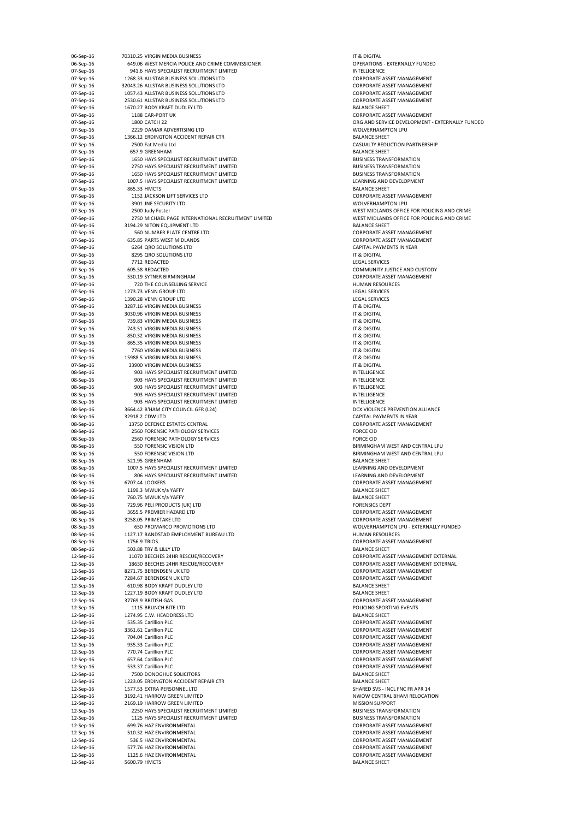| 06-Sep-16 | 70310.25 VIRGIN MEDIA BUSINESS                      | IT & DIGITAL          |
|-----------|-----------------------------------------------------|-----------------------|
| 06-Sep-16 | 649.06 WEST MERCIA POLICE AND CRIME COMMISSIONER    | <b>OPERATIONS - E</b> |
| 07-Sep-16 | 941.6 HAYS SPECIALIST RECRUITMENT LIMITED           | <b>INTELLIGENCE</b>   |
| 07-Sep-16 | 1268.33 ALLSTAR BUSINESS SOLUTIONS LTD              | <b>CORPORATE AS:</b>  |
| 07-Sep-16 | 32043.26 ALLSTAR BUSINESS SOLUTIONS LTD             | <b>CORPORATE ASS</b>  |
| 07-Sep-16 | 1057.43 ALLSTAR BUSINESS SOLUTIONS LTD              | <b>CORPORATE ASS</b>  |
| 07-Sep-16 | 2530.61 ALLSTAR BUSINESS SOLUTIONS LTD              | <b>CORPORATE ASS</b>  |
| 07-Sep-16 | 1670.27 BODY KRAFT DUDLEY LTD                       | <b>BALANCE SHEET</b>  |
| 07-Sep-16 | 1188 CAR-PORT UK                                    | <b>CORPORATE ASS</b>  |
| 07-Sep-16 | 1800 CATCH 22                                       | ORG AND SERVI         |
| 07-Sep-16 | 2229 DAMAR ADVERTISING LTD                          | <b>WOLVERHAMPT</b>    |
|           |                                                     |                       |
| 07-Sep-16 | 1366.12 ERDINGTON ACCIDENT REPAIR CTR               | <b>BALANCE SHEET</b>  |
| 07-Sep-16 | 2500 Fat Media Ltd                                  | <b>CASUALTY REDL</b>  |
| 07-Sep-16 | 657.9 GREENHAM                                      | <b>BALANCE SHEET</b>  |
| 07-Sep-16 | 1650 HAYS SPECIALIST RECRUITMENT LIMITED            | <b>BUSINESS TRAN</b>  |
| 07-Sep-16 | 2750 HAYS SPECIALIST RECRUITMENT LIMITED            | <b>BUSINESS TRAN</b>  |
| 07-Sep-16 | 1650 HAYS SPECIALIST RECRUITMENT LIMITED            | <b>BUSINESS TRAN</b>  |
| 07-Sep-16 | 1007.5 HAYS SPECIALIST RECRUITMENT LIMITED          | LEARNING AND          |
| 07-Sep-16 | 865.33 HMCTS                                        | <b>BALANCE SHEET</b>  |
|           |                                                     |                       |
| 07-Sep-16 | 1152 JACKSON LIFT SERVICES LTD                      | <b>CORPORATE ASS</b>  |
| 07-Sep-16 | 3901 JNE SECURITY LTD                               | <b>WOLVERHAMPT</b>    |
| 07-Sep-16 | 2500 Judy Foster                                    | <b>WEST MIDLAND</b>   |
| 07-Sep-16 | 2750 MICHAEL PAGE INTERNATIONAL RECRUITMENT LIMITED | <b>WEST MIDLAND</b>   |
| 07-Sep-16 | 3194.29 NITON EQUIPMENT LTD                         | <b>BALANCE SHEET</b>  |
| 07-Sep-16 | 560 NUMBER PLATE CENTRE LTD                         | <b>CORPORATE ASS</b>  |
| 07-Sep-16 | 635.85 PARTS WEST MIDLANDS                          | <b>CORPORATE ASS</b>  |
| 07-Sep-16 | 6264 QRO SOLUTIONS LTD                              | <b>CAPITAL PAYME</b>  |
| 07-Sep-16 | 8295 QRO SOLUTIONS LTD                              | IT & DIGITAL          |
|           | 7712 REDACTED                                       |                       |
| 07-Sep-16 |                                                     | <b>LEGAL SERVICES</b> |
| 07-Sep-16 | 605.58 REDACTED                                     | <b>COMMUNITY JU</b>   |
| 07-Sep-16 | 530.19 SYTNER BIRMINGHAM                            | <b>CORPORATE ASS</b>  |
| 07-Sep-16 | 720 THE COUNSELLING SERVICE                         | <b>HUMAN RESOU</b>    |
| 07-Sep-16 | 1273.73 VENN GROUP LTD                              | <b>LEGAL SERVICES</b> |
| 07-Sep-16 | 1390.28 VENN GROUP LTD                              | <b>LEGAL SERVICES</b> |
| 07-Sep-16 | 3287.16 VIRGIN MEDIA BUSINESS                       | IT & DIGITAL          |
| 07-Sep-16 | 3030.96 VIRGIN MEDIA BUSINESS                       | IT & DIGITAL          |
| 07-Sep-16 | 739.83 VIRGIN MEDIA BUSINESS                        | IT & DIGITAL          |
|           |                                                     |                       |
| 07-Sep-16 | 743.51 VIRGIN MEDIA BUSINESS                        | IT & DIGITAL          |
| 07-Sep-16 | 850.32 VIRGIN MEDIA BUSINESS                        | IT & DIGITAL          |
| 07-Sep-16 | 865.35 VIRGIN MEDIA BUSINESS                        | IT & DIGITAL          |
| 07-Sep-16 | 7760 VIRGIN MEDIA BUSINESS                          | IT & DIGITAL          |
| 07-Sep-16 | 15988.5 VIRGIN MEDIA BUSINESS                       | IT & DIGITAL          |
| 07-Sep-16 | 33900 VIRGIN MEDIA BUSINESS                         | IT & DIGITAL          |
| 08-Sep-16 | 903 HAYS SPECIALIST RECRUITMENT LIMITED             | <b>INTELLIGENCE</b>   |
| 08-Sep-16 | 903 HAYS SPECIALIST RECRUITMENT LIMITED             | INTELLIGENCE          |
| 08-Sep-16 | 903 HAYS SPECIALIST RECRUITMENT LIMITED             | <b>INTELLIGENCE</b>   |
|           |                                                     |                       |
| 08-Sep-16 | 903 HAYS SPECIALIST RECRUITMENT LIMITED             | <b>INTELLIGENCE</b>   |
| 08-Sep-16 | 903 HAYS SPECIALIST RECRUITMENT LIMITED             | <b>INTELLIGENCE</b>   |
| 08-Sep-16 | 3664.42 B'HAM CITY COUNCIL GFR (L24)                | <b>DCX VIOLENCE F</b> |
| 08-Sep-16 | 32918.2 CDW LTD                                     | <b>CAPITAL PAYME</b>  |
| 08-Sep-16 | 13750 DEFENCE ESTATES CENTRAL                       | <b>CORPORATE ASS</b>  |
| 08-Sep-16 | 2560 FORENSIC PATHOLOGY SERVICES                    | <b>FORCE CID</b>      |
| 08-Sep-16 | 2560 FORENSIC PATHOLOGY SERVICES                    | <b>FORCE CID</b>      |
| 08-Sep-16 | 550 FORENSIC VISION LTD                             | <b>BIRMINGHAM V</b>   |
| 08-Sep-16 | 550 FORENSIC VISION LTD                             | <b>BIRMINGHAM V</b>   |
|           |                                                     |                       |
| 08-Sep-16 | 521.95 GREENHAM                                     | <b>BALANCE SHEET</b>  |
| 08-Sep-16 | 1007.5 HAYS SPECIALIST RECRUITMENT LIMITED          | <b>LEARNING AND</b>   |
| 08-Sep-16 | 806 HAYS SPECIALIST RECRUITMENT LIMITED             | LEARNING AND          |
| 08-Sep-16 | 6707.44 LOOKERS                                     | <b>CORPORATE ASS</b>  |
| 08-Sep-16 | 1199.3 MWUK t/a YAFFY                               | <b>BALANCE SHEET</b>  |
| 08-Sep-16 | 760.75 MWUK t/a YAFFY                               | <b>BALANCE SHEET</b>  |
| 08-Sep-16 | 729.96 PELI PRODUCTS (UK) LTD                       | <b>FORENSICS DEP</b>  |
| 08-Sep-16 | 3655.5 PREMIER HAZARD LTD                           | <b>CORPORATE ASS</b>  |
| 08-Sep-16 | 3258.05 PRIMETAKE LTD                               | <b>CORPORATE ASS</b>  |
|           |                                                     |                       |
| 08-Sep-16 | <b>650 PROMARCO PROMOTIONS LTD</b>                  | <b>WOLVERHAMPT</b>    |
| 08-Sep-16 | 1127.17 RANDSTAD EMPLOYMENT BUREAU LTD              | <b>HUMAN RESOU</b>    |
| 08-Sep-16 | 1756.9 TRIOS                                        | <b>CORPORATE ASS</b>  |
| 08-Sep-16 | 503.88 TRY & LILLY LTD                              | <b>BALANCE SHEET</b>  |
| 12-Sep-16 | 11070 BEECHES 24HR RESCUE/RECOVERY                  | <b>CORPORATE ASS</b>  |
| 12-Sep-16 | 18630 BEECHES 24HR RESCUE/RECOVERY                  | <b>CORPORATE AS:</b>  |
| 12-Sep-16 | 8271.75 BERENDSEN UK LTD                            | <b>CORPORATE ASS</b>  |
| 12-Sep-16 | 7284.67 BERENDSEN UK LTD                            | <b>CORPORATE ASS</b>  |
| 12-Sep-16 | 610.98 BODY KRAFT DUDLEY LTD                        | <b>BALANCE SHEET</b>  |
| 12-Sep-16 | 1227.19 BODY KRAFT DUDLEY LTD                       | <b>BALANCE SHEET</b>  |
| 12-Sep-16 | 37769.9 BRITISH GAS                                 | <b>CORPORATE ASS</b>  |
|           |                                                     |                       |
| 12-Sep-16 | 1115 BRUNCH BITE LTD                                | POLICING SPORT        |
| 12-Sep-16 | 1274.95 C.W. HEADDRESS LTD                          | <b>BALANCE SHEET</b>  |
| 12-Sep-16 | 535.35 Carillion PLC                                | <b>CORPORATE ASS</b>  |
| 12-Sep-16 | 3361.61 Carillion PLC                               | <b>CORPORATE ASS</b>  |
| 12-Sep-16 | 704.04 Carillion PLC                                | <b>CORPORATE ASS</b>  |
| 12-Sep-16 | 935.33 Carillion PLC                                | <b>CORPORATE ASS</b>  |
| 12-Sep-16 | 770.74 Carillion PLC                                | <b>CORPORATE ASS</b>  |
| 12-Sep-16 | 657.64 Carillion PLC                                | <b>CORPORATE ASS</b>  |
| 12-Sep-16 | 533.37 Carillion PLC                                | <b>CORPORATE ASS</b>  |
|           |                                                     |                       |
| 12-Sep-16 | 7500 DONOGHUE SOLICITORS                            | <b>BALANCE SHEET</b>  |
| 12-Sep-16 | 1223.05 ERDINGTON ACCIDENT REPAIR CTR               | <b>BALANCE SHEET</b>  |
| 12-Sep-16 | 1577.53 EXTRA PERSONNEL LTD                         | SHARED SVS - IN       |
| 12-Sep-16 | 3192.41 HARROW GREEN LIMITED                        | <b>NWOW CENTRA</b>    |
| 12-Sep-16 | 2169.19 HARROW GREEN LIMITED                        | <b>MISSION SUPPC</b>  |
| 12-Sep-16 | 2250 HAYS SPECIALIST RECRUITMENT LIMITED            | <b>BUSINESS TRAN</b>  |
| 12-Sep-16 | 1125 HAYS SPECIALIST RECRUITMENT LIMITED            | <b>BUSINESS TRAN</b>  |
| 12-Sep-16 | 699.76 HAZ ENVIRONMENTAL                            | <b>CORPORATE AS:</b>  |
|           |                                                     |                       |
| 12-Sep-16 | 510.32 HAZ ENVIRONMENTAL                            | <b>CORPORATE ASS</b>  |
| 12-Sep-16 | 536.5 HAZ ENVIRONMENTAL                             | <b>CORPORATE ASS</b>  |
| 12-Sep-16 | 577.76 HAZ ENVIRONMENTAL                            | <b>CORPORATE ASS</b>  |
| 12-Sep-16 | 1125.6 HAZ ENVIRONMENTAL                            | <b>CORPORATE ASS</b>  |
| 12-Sep-16 | 5600.79 HMCTS                                       | <b>BALANCE SHEET</b>  |

OPERATIONS - EXTERNALLY FUNDED CORPORATE ASSET MANAGEMENT CORPORATE ASSET MANAGEMENT CORPORATE ASSET MANAGEMENT CORPORATE ASSET MANAGEMENT CORPORATE ASSET MANAGEMENT ORG AND SERVICE DEVELOPMENT - EXTERNALLY FUNDED WOLVERHAMPTON LPU BALANCE SHEET CASUALTY REDUCTION PARTNERSHIP BALANCE SHEET BUSINESS TRANSFORMATION BUSINESS TRANSFORMATION BUSINESS TRANSFORMATION LEARNING AND DEVELOPMENT BALANCE SHEET CORPORATE ASSET MANAGEMENT WOLVERHAMPTON LPU WEST MIDLANDS OFFICE FOR POLICING AND CRIME WEST MIDLANDS OFFICE FOR POLICING AND CRIME BALANCE SHEET CORPORATE ASSET MANAGEMENT CORPORATE ASSET MANAGEMENT CAPITAL PAYMENTS IN YEAR LEGAL SERVICES COMMUNITY JUSTICE AND CUSTODY CORPORATE ASSET MANAGEMENT HUMAN RESOURCES LEGAL SERVICES LEGAL SERVICES INTELLIGENCE DCX VIOLENCE PREVENTION ALLIANCE CAPITAL PAYMENTS IN YEAR CORPORATE ASSET MANAGEMENT BIRMINGHAM WEST AND CENTRAL LPU BIRMINGHAM WEST AND CENTRAL LPU LEARNING AND DEVELOPMENT LEARNING AND DEVELOPMENT CORPORATE ASSET MANAGEMENT BALANCE SHEET FORENSICS DEPT CORPORATE ASSET MANAGEMENT CORPORATE ASSET MANAGEMENT WOLVERHAMPTON LPU - EXTERNALLY FUNDED HUMAN RESOURCES CORPORATE ASSET MANAGEMENT BALANCE SHEET CORPORATE ASSET MANAGEMENT EXTERNAL CORPORATE ASSET MANAGEMENT EXTERNAL CORPORATE ASSET MANAGEMENT CORPORATE ASSET MANAGEMENT BALANCE SHEET BALANCE SHEET CORPORATE ASSET MANAGEMENT POLICING SPORTING EVENTS BALANCE SHEET CORPORATE ASSET MANAGEMENT CORPORATE ASSET MANAGEMENT CORPORATE ASSET MANAGEMENT CORPORATE ASSET MANAGEMENT CORPORATE ASSET MANAGEMENT CORPORATE ASSET MANAGEMENT CORPORATE ASSET MANAGEMENT BALANCE SHEET BALANCE SHEET SHARED SVS - INCL FNC FR APR 14 NWOW CENTRAL BHAM RELOCATION **MISSION SUPPORT** BUSINESS TRANSFORMATION BUSINESS TRANSFORMATION CORPORATE ASSET MANAGEMENT CORPORATE ASSET MANAGEMENT CORPORATE ASSET MANAGEMENT CORPORATE ASSET MANAGEMENT CORPORATE ASSET MANAGEMENT BALANCE SHEET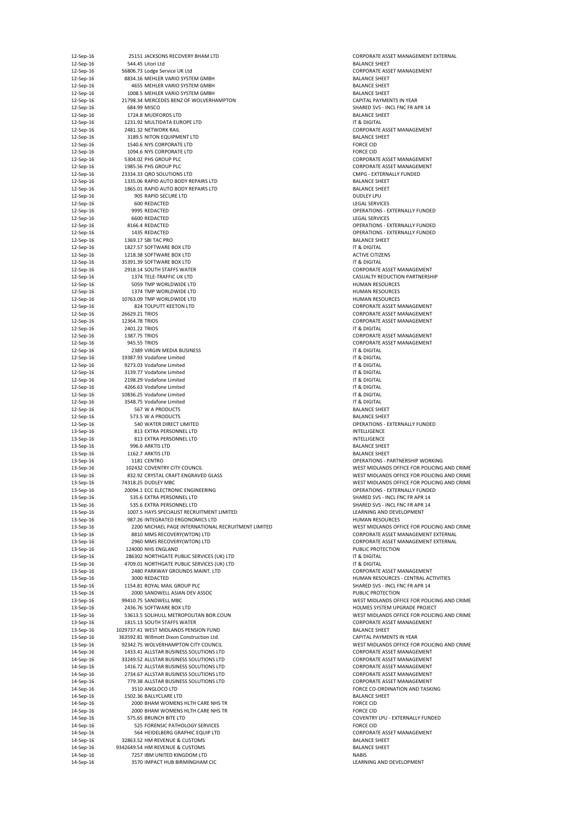| 12-Sep-16 |                | 25151 JACKSONS RECOVERY BHAM LTD                    | <b>CORPORATE AS:</b>   |
|-----------|----------------|-----------------------------------------------------|------------------------|
| 12-Sep-16 |                | 544.45 Litori Ltd                                   | <b>BALANCE SHEET</b>   |
|           |                |                                                     |                        |
| 12-Sep-16 |                | 56806.73 Lodge Service UK Ltd                       | <b>CORPORATE AS!</b>   |
| 12-Sep-16 |                | 8834.16 MEHLER VARIO SYSTEM GMBH                    | <b>BALANCE SHEET</b>   |
| 12-Sep-16 |                | 4655 MEHLER VARIO SYSTEM GMBH                       | <b>BALANCE SHEET</b>   |
| 12-Sep-16 |                | 1008.5 MEHLER VARIO SYSTEM GMBH                     | <b>BALANCE SHEET</b>   |
| 12-Sep-16 |                | 21798.34 MERCEDES BENZ OF WOLVERHAMPTON             | <b>CAPITAL PAYME</b>   |
| 12-Sep-16 |                | 684.99 MISCO                                        | SHARED SVS - IN        |
| 12-Sep-16 |                | 1724.8 MUDFORDS LTD                                 | <b>BALANCE SHEET</b>   |
|           |                |                                                     |                        |
| 12-Sep-16 |                | 1231.92 MULTIDATA EUROPE LTD                        | IT & DIGITAL           |
| 12-Sep-16 |                | 2481.32 NETWORK RAIL                                | <b>CORPORATE ASS</b>   |
| 12-Sep-16 |                | 3189.5 NITON EQUIPMENT LTD                          | <b>BALANCE SHEET</b>   |
| 12-Sep-16 |                | 1540.6 NYS CORPORATE LTD                            | <b>FORCE CID</b>       |
| 12-Sep-16 |                | 1094.6 NYS CORPORATE LTD                            | <b>FORCE CID</b>       |
| 12-Sep-16 |                | 5304.02 PHS GROUP PLC                               | <b>CORPORATE AS:</b>   |
|           |                |                                                     |                        |
| 12-Sep-16 |                | 1985.56 PHS GROUP PLC                               | <b>CORPORATE ASS</b>   |
| 12-Sep-16 |                | 23334.33 QRO SOLUTIONS LTD                          | <b>CMPG - EXTERN</b>   |
| 12-Sep-16 |                | 1335.06 RAPID AUTO BODY REPAIRS LTD                 | <b>BALANCE SHEET</b>   |
| 12-Sep-16 |                | 1865.01 RAPID AUTO BODY REPAIRS LTD                 | <b>BALANCE SHEET</b>   |
| 12-Sep-16 |                | 905 RAPID SECURE LTD                                | <b>DUDLEY LPU</b>      |
| 12-Sep-16 |                | 600 REDACTED                                        | <b>LEGAL SERVICES</b>  |
|           |                |                                                     |                        |
| 12-Sep-16 |                | 9995 REDACTED                                       | <b>OPERATIONS - E</b>  |
| 12-Sep-16 |                | 6600 REDACTED                                       | <b>LEGAL SERVICES</b>  |
| 12-Sep-16 |                | 8166.4 REDACTED                                     | <b>OPERATIONS - E</b>  |
| 12-Sep-16 |                | 1435 REDACTED                                       | <b>OPERATIONS - E</b>  |
| 12-Sep-16 |                | 1369.17 SBI TAC PRO                                 | <b>BALANCE SHEET</b>   |
| 12-Sep-16 |                | 1827.57 SOFTWARE BOX LTD                            | IT & DIGITAL           |
|           |                | 1218.38 SOFTWARE BOX LTD                            |                        |
| 12-Sep-16 |                |                                                     | <b>ACTIVE CITIZENS</b> |
| 12-Sep-16 |                | 35391.39 SOFTWARE BOX LTD                           | IT & DIGITAL           |
| 12-Sep-16 |                | 2918.14 SOUTH STAFFS WATER                          | <b>CORPORATE ASS</b>   |
| 12-Sep-16 |                | 1374 TELE-TRAFFIC UK LTD                            | <b>CASUALTY REDL</b>   |
| 12-Sep-16 |                | 5059 TMP WORLDWIDE LTD                              | <b>HUMAN RESOU</b>     |
| 12-Sep-16 |                | 1374 TMP WORLDWIDE LTD                              | <b>HUMAN RESOU</b>     |
| 12-Sep-16 |                | 10763.09 TMP WORLDWIDE LTD                          | <b>HUMAN RESOU</b>     |
|           |                |                                                     |                        |
| 12-Sep-16 |                | 824 TOLPUTT KEETON LTD                              | <b>CORPORATE ASS</b>   |
| 12-Sep-16 | 26629.21 TRIOS |                                                     | <b>CORPORATE AS!</b>   |
| 12-Sep-16 | 12364.78 TRIOS |                                                     | <b>CORPORATE ASS</b>   |
| 12-Sep-16 | 2401.22 TRIOS  |                                                     | IT & DIGITAL           |
| 12-Sep-16 | 1387.75 TRIOS  |                                                     | <b>CORPORATE AS!</b>   |
|           |                |                                                     |                        |
| 12-Sep-16 | 945.55 TRIOS   |                                                     | <b>CORPORATE AS:</b>   |
| 12-Sep-16 |                | 2389 VIRGIN MEDIA BUSINESS                          | IT & DIGITAL           |
| 12-Sep-16 |                | 19387.93 Vodafone Limited                           | IT & DIGITAL           |
| 12-Sep-16 |                | 9273.03 Vodafone Limited                            | IT & DIGITAL           |
| 12-Sep-16 |                | 3139.77 Vodafone Limited                            | IT & DIGITAL           |
| 12-Sep-16 |                | 2198.29 Vodafone Limited                            | IT & DIGITAL           |
|           |                |                                                     |                        |
| 12-Sep-16 |                | 4266.63 Vodafone Limited                            | IT & DIGITAL           |
| 12-Sep-16 |                | 10836.25 Vodafone Limited                           | IT & DIGITAL           |
| 12-Sep-16 |                | 3548.75 Vodafone Limited                            | IT & DIGITAL           |
| 12-Sep-16 |                | 567 W A PRODUCTS                                    | <b>BALANCE SHEET</b>   |
| 12-Sep-16 |                | 573.5 W A PRODUCTS                                  | <b>BALANCE SHEET</b>   |
| 12-Sep-16 |                | 540 WATER DIRECT LIMITED                            | <b>OPERATIONS - E</b>  |
|           |                |                                                     |                        |
| 13-Sep-16 |                | 813 EXTRA PERSONNEL LTD                             | <b>INTELLIGENCE</b>    |
| 13-Sep-16 |                | 813 EXTRA PERSONNEL LTD                             | <b>INTELLIGENCE</b>    |
| 13-Sep-16 |                | 996.6 ARKTIS LTD                                    | <b>BALANCE SHEET</b>   |
| 13-Sep-16 |                | 1162.7 ARKTIS LTD                                   | <b>BALANCE SHEET</b>   |
| 13-Sep-16 |                | 1181 CENTRO                                         | <b>OPERATIONS - P</b>  |
| 13-Sep-16 |                | 102432 COVENTRY CITY COUNCIL                        | <b>WEST MIDLAND</b>    |
|           |                |                                                     |                        |
| 13-Sep-16 |                | 832.92 CRYSTAL CRAFT ENGRAVED GLASS                 | <b>WEST MIDLAND</b>    |
| 13-Sep-16 |                | 74318.25 DUDLEY MBC                                 | <b>WEST MIDLAND</b>    |
| 13-Sep-16 |                | 20094.1 ECC ELECTRONIC ENGINEERING                  | <b>OPERATIONS - E</b>  |
| 13-Sep-16 |                | 535.6 EXTRA PERSONNEL LTD                           | <b>SHARED SVS - IN</b> |
| 13-Sep-16 |                | 535.6 EXTRA PERSONNEL LTD                           | <b>SHARED SVS - IN</b> |
|           |                | 1007.5 HAYS SPECIALIST RECRUITMENT LIMITED          |                        |
| 13-Sep-16 |                |                                                     | LEARNING AND           |
| 13-Sep-16 |                | 987.26 INTEGRATED ERGONOMICS LTD                    | <b>HUMAN RESOU</b>     |
| 13-Sep-16 |                | 2200 MICHAEL PAGE INTERNATIONAL RECRUITMENT LIMITED | <b>WEST MIDLAND</b>    |
| 13-Sep-16 |                | 8810 MMS RECOVERY(WTON) LTD                         | <b>CORPORATE ASS</b>   |
| 13-Sep-16 |                | 2960 MMS RECOVERY(WTON) LTD                         | <b>CORPORATE AS:</b>   |
| 13-Sep-16 |                | 124000 NHS ENGLAND                                  | PUBLIC PROTECT         |
| 13-Sep-16 |                | 286302 NORTHGATE PUBLIC SERVICES (UK) LTD           | IT & DIGITAL           |
|           |                |                                                     |                        |
| 13-Sep-16 |                | 4709.01 NORTHGATE PUBLIC SERVICES (UK) LTD          | IT & DIGITAL           |
| 13-Sep-16 |                | 2480 PARKWAY GROUNDS MAINT. LTD                     | <b>CORPORATE ASS</b>   |
| 13-Sep-16 |                | 3000 REDACTED                                       | <b>HUMAN RESOU</b>     |
| 13-Sep-16 |                | 1154.81 ROYAL MAIL GROUP PLC                        | SHARED SVS - IN        |
| 13-Sep-16 |                | 2000 SANDWELL ASIAN DEV ASSOC                       | PUBLIC PROTECT         |
| 13-Sep-16 |                | 99410.75 SANDWELL MBC                               | <b>WEST MIDLAND</b>    |
|           |                | 2436.76 SOFTWARE BOX LTD                            |                        |
| 13-Sep-16 |                |                                                     | <b>HOLMES SYSTEM</b>   |
| 13-Sep-16 |                | 53613.5 SOLIHULL METROPOLITAN BOR.COUN              | <b>WEST MIDLAND</b>    |
| 13-Sep-16 |                | 1815.13 SOUTH STAFFS WATER                          | <b>CORPORATE ASS</b>   |
| 13-Sep-16 |                | 1029737.41 WEST MIDLANDS PENSION FUND               | <b>BALANCE SHEET</b>   |
| 13-Sep-16 |                | 363592.81 Willmott Dixon Construction Ltd.          | <b>CAPITAL PAYME</b>   |
| 13-Sep-16 |                | 92342.75 WOLVERHAMPTON CITY COUNCIL                 | <b>WEST MIDLAND</b>    |
|           |                |                                                     |                        |
| 14-Sep-16 |                | 1433.41 ALLSTAR BUSINESS SOLUTIONS LTD              | <b>CORPORATE ASS</b>   |
| 14-Sep-16 |                | 33249.52 ALLSTAR BUSINESS SOLUTIONS LTD             | <b>CORPORATE AS!</b>   |
| 14-Sep-16 |                | 1416.72 ALLSTAR BUSINESS SOLUTIONS LTD              | <b>CORPORATE AS!</b>   |
| 14-Sep-16 |                | 2734.67 ALLSTAR BUSINESS SOLUTIONS LTD              | <b>CORPORATE AS!</b>   |
| 14-Sep-16 |                | 779.38 ALLSTAR BUSINESS SOLUTIONS LTD               | <b>CORPORATE AS!</b>   |
|           |                |                                                     |                        |
| 14-Sep-16 |                | 3510 ANGLOCO LTD                                    | <b>FORCE CO-ORDI</b>   |
| 14-Sep-16 |                | 1502.36 BALLYCLARE LTD                              | <b>BALANCE SHEET</b>   |
| 14-Sep-16 |                | 2000 BHAM WOMENS HLTH CARE NHS TR                   | <b>FORCE CID</b>       |
| 14-Sep-16 |                | 2000 BHAM WOMENS HLTH CARE NHS TR                   | <b>FORCE CID</b>       |
| 14-Sep-16 |                | 575.65 BRUNCH BITE LTD                              | <b>COVENTRY LPU</b>    |
| 14-Sep-16 |                | 525 FORENSIC PATHOLOGY SERVICES                     | <b>FORCE CID</b>       |
|           |                |                                                     |                        |
| 14-Sep-16 |                | 564 HEIDELBERG GRAPHIC EQUIP LTD                    | <b>CORPORATE ASS</b>   |
| 14-Sep-16 |                | 32863.52 HM REVENUE & CUSTOMS                       | <b>BALANCE SHEET</b>   |
| 14-Sep-16 |                | 9342649.54 HM REVENUE & CUSTOMS                     | <b>BALANCE SHEET</b>   |
| 14-Sep-16 |                | 7257 IBM UNITED KINGDOM LTD                         | <b>NABIS</b>           |
| 14-Sep-16 |                | 3570 IMPACT HUB BIRMINGHAM CIC                      | LEARNING AND           |

CORPORATE ASSET MANAGEMENT EXTERNAL CORPORATE ASSET MANAGEMENT BALANCE SHEET BALANCE SHEET CAPITAL PAYMENTS IN YEAR SHARED SVS - INCL FNC FR APR 14 CORPORATE ASSET MANAGEMENT BALANCE SHEET CORPORATE ASSET MANAGEMENT CORPORATE ASSET MANAGEMENT CMPG - EXTERNALLY FUNDED BALANCE SHEET LEGAL SERVICES OPERATIONS - EXTERNALLY FUNDED OPERATIONS - EXTERNALLY FUNDED OPERATIONS - EXTERNALLY FUNDED BALANCE SHEET ACTIVE CITIZENS CORPORATE ASSET MANAGEMENT CASUALTY REDUCTION PARTNERSHIP HUMAN RESOURCES HUMAN RESOURCES HUMAN RESOURCES CORPORATE ASSET MANAGEMENT CORPORATE ASSET MANAGEMENT CORPORATE ASSET MANAGEMENT CORPORATE ASSET MANAGEMENT CORPORATE ASSET MANAGEMENT BALANCE SHEET OPERATIONS - EXTERNALLY FUNDED BALANCE SHEET OPERATIONS - PARTNERSHIP WORKING WEST MIDLANDS OFFICE FOR POLICING AND CRIME WEST MIDLANDS OFFICE FOR POLICING AND CRIME WEST MIDLANDS OFFICE FOR POLICING AND CRIME OPERATIONS - EXTERNALLY FUNDED SHARED SVS - INCL FNC FR APR 14 SHARED SVS - INCL FNC FR APR 14 LEARNING AND DEVELOPMENT HUMAN RESOURCES WEST MIDLANDS OFFICE FOR POLICING AND CRIME CORPORATE ASSET MANAGEMENT EXTERNAL CORPORATE ASSET MANAGEMENT EXTERNAL PUBLIC PROTECTION CORPORATE ASSET MANAGEMENT HUMAN RESOURCES - CENTRAL ACTIVITIES SHARED SVS - INCL FNC FR APR 14 PUBLIC PROTECTION WEST MIDLANDS OFFICE FOR POLICING AND CRIME HOLMES SYSTEM UPGRADE PROJECT WEST MIDLANDS OFFICE FOR POLICING AND CRIME CORPORATE ASSET MANAGEMENT CAPITAL PAYMENTS IN YEAR WEST MIDLANDS OFFICE FOR POLICING AND CRIME CORPORATE ASSET MANAGEMENT CORPORATE ASSET MANAGEMENT CORPORATE ASSET MANAGEMENT CORPORATE ASSET MANAGEMENT CORPORATE ASSET MANAGEMENT FORCE CO-ORDINATION AND TASKING BALANCE SHEET COVENTRY LPU - EXTERNALLY FUNDED CORPORATE ASSET MANAGEMENT BALANCE SHEET BALANCE SHEET LEARNING AND DEVELOPMENT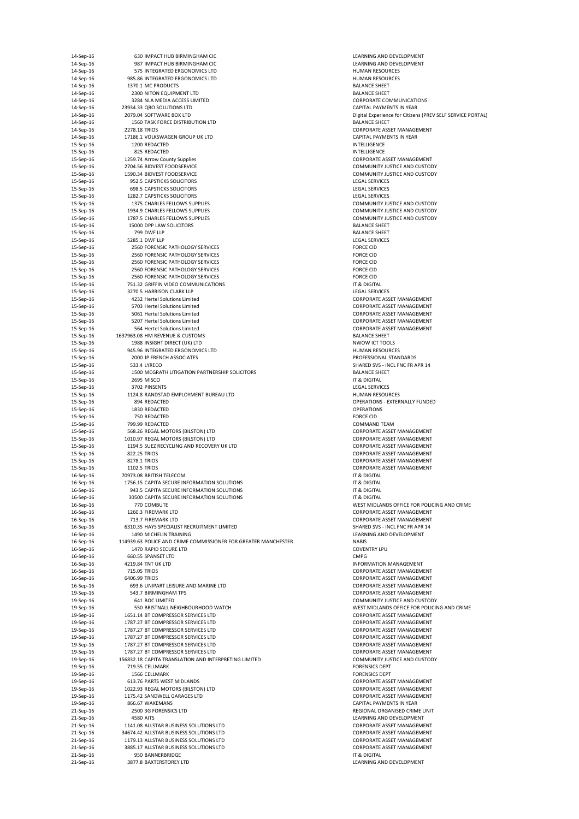| 14-Sep-16              |                    | 630 IMPACT HUB BIRMINGHAM CIC                                                     | LEARNING AND                                 |
|------------------------|--------------------|-----------------------------------------------------------------------------------|----------------------------------------------|
| 14-Sep-16              |                    | 987 IMPACT HUB BIRMINGHAM CIC                                                     | <b>LEARNING AND</b>                          |
| 14-Sep-16              |                    | 575 INTEGRATED ERGONOMICS LTD                                                     | <b>HUMAN RESOU</b>                           |
| 14-Sep-16              |                    | 985.86 INTEGRATED ERGONOMICS LTD                                                  | <b>HUMAN RESOU</b>                           |
| 14-Sep-16              |                    | 1370.1 MC PRODUCTS                                                                | <b>BALANCE SHEET</b>                         |
| 14-Sep-16              |                    | 2300 NITON EQUIPMENT LTD                                                          | <b>BALANCE SHEET</b>                         |
| 14-Sep-16              |                    | 3284 NLA MEDIA ACCESS LIMITED                                                     | <b>CORPORATE CO</b>                          |
| 14-Sep-16              |                    | 23934.33 QRO SOLUTIONS LTD                                                        | <b>CAPITAL PAYME</b>                         |
| 14-Sep-16              |                    | 2079.04 SOFTWARE BOX LTD                                                          | Digital Experien                             |
| 14-Sep-16              |                    | 1560 TASK FORCE DISTRIBUTION LTD                                                  | <b>BALANCE SHEET</b>                         |
| 14-Sep-16              | 2278.18 TRIOS      |                                                                                   | <b>CORPORATE ASS</b>                         |
| 14-Sep-16              |                    | 17186.1 VOLKSWAGEN GROUP UK LTD                                                   | <b>CAPITAL PAYME</b>                         |
| 15-Sep-16              |                    | 1200 REDACTED                                                                     | <b>INTELLIGENCE</b>                          |
| 15-Sep-16              |                    | 825 REDACTED                                                                      | <b>INTELLIGENCE</b>                          |
| 15-Sep-16              |                    | 1259.74 Arrow County Supplies                                                     | <b>CORPORATE ASS</b>                         |
| 15-Sep-16              |                    | 2704.56 BIDVEST FOODSERVICE                                                       | <b>COMMUNITY JU</b>                          |
| 15-Sep-16              |                    | 1590.34 BIDVEST FOODSERVICE                                                       | <b>COMMUNITY JU</b>                          |
| 15-Sep-16              |                    | 952.5 CAPSTICKS SOLICITORS                                                        | <b>LEGAL SERVICES</b>                        |
| 15-Sep-16              |                    | <b>698.5 CAPSTICKS SOLICITORS</b>                                                 | <b>LEGAL SERVICES</b>                        |
| 15-Sep-16              |                    | 1282.7 CAPSTICKS SOLICITORS                                                       | <b>LEGAL SERVICES</b>                        |
| 15-Sep-16              |                    | 1375 CHARLES FELLOWS SUPPLIES                                                     | <b>COMMUNITY JU</b>                          |
| 15-Sep-16              |                    | 1934.9 CHARLES FELLOWS SUPPLIES                                                   | <b>COMMUNITY JU</b>                          |
| 15-Sep-16              |                    | 1787.5 CHARLES FELLOWS SUPPLIES                                                   | <b>COMMUNITY JU</b>                          |
| 15-Sep-16              |                    | 15000 DPP LAW SOLICITORS                                                          | <b>BALANCE SHEET</b>                         |
| 15-Sep-16              |                    | 799 DWF LLP                                                                       | <b>BALANCE SHEET</b>                         |
| 15-Sep-16              | 5285.1 DWF LLP     |                                                                                   | <b>LEGAL SERVICES</b>                        |
| 15-Sep-16              |                    | <b>2560 FORENSIC PATHOLOGY SERVICES</b>                                           | <b>FORCE CID</b>                             |
| 15-Sep-16              |                    | 2560 FORENSIC PATHOLOGY SERVICES                                                  | <b>FORCE CID</b>                             |
| 15-Sep-16              |                    | 2560 FORENSIC PATHOLOGY SERVICES                                                  | <b>FORCE CID</b>                             |
| 15-Sep-16              |                    | 2560 FORENSIC PATHOLOGY SERVICES                                                  | <b>FORCE CID</b>                             |
| 15-Sep-16              |                    | 2560 FORENSIC PATHOLOGY SERVICES<br>751.32 GRIFFIN VIDEO COMMUNICATIONS           | <b>FORCE CID</b><br>IT & DIGITAL             |
| 15-Sep-16              |                    |                                                                                   |                                              |
| 15-Sep-16              |                    | 3270.5 HARRISON CLARK LLP                                                         | <b>LEGAL SERVICES</b>                        |
| 15-Sep-16              |                    | 4232 Hertel Solutions Limited<br>5703 Hertel Solutions Limited                    | <b>CORPORATE AS:</b>                         |
| 15-Sep-16              |                    | 5061 Hertel Solutions Limited                                                     | <b>CORPORATE ASS</b>                         |
| 15-Sep-16<br>15-Sep-16 |                    | 5207 Hertel Solutions Limited                                                     | <b>CORPORATE ASS</b><br><b>CORPORATE ASS</b> |
| 15-Sep-16              |                    | 564 Hertel Solutions Limited                                                      | <b>CORPORATE AS:</b>                         |
| 15-Sep-16              |                    | 1637963.08 HM REVENUE & CUSTOMS                                                   | <b>BALANCE SHEET</b>                         |
| 15-Sep-16              |                    | 1988 INSIGHT DIRECT (UK) LTD                                                      | <b>NWOW ICT TOC</b>                          |
| 15-Sep-16              |                    | 945.96 INTEGRATED ERGONOMICS LTD                                                  | <b>HUMAN RESOU</b>                           |
| 15-Sep-16              |                    | 2000 JP FRENCH ASSOCIATES                                                         | PROFESSIONAL:                                |
| 15-Sep-16              | 533.4 LYRECO       |                                                                                   | <b>SHARED SVS - IN</b>                       |
| 15-Sep-16              |                    | 1500 MCGRATH LITIGATION PARTNERSHIP SOLICITORS                                    | <b>BALANCE SHEET</b>                         |
| 15-Sep-16              | 2695 MISCO         |                                                                                   | IT & DIGITAL                                 |
| 15-Sep-16              |                    | 3702 PINSENTS                                                                     | <b>LEGAL SERVICES</b>                        |
| 15-Sep-16              |                    | 1124.8 RANDSTAD EMPLOYMENT BUREAU LTD                                             | <b>HUMAN RESOU</b>                           |
| 15-Sep-16              |                    | 894 REDACTED                                                                      | <b>OPERATIONS - E</b>                        |
| 15-Sep-16              |                    | 1830 REDACTED                                                                     | <b>OPERATIONS</b>                            |
| 15-Sep-16              |                    | 750 REDACTED                                                                      | <b>FORCE CID</b>                             |
| 15-Sep-16              | 799.99 REDACTED    |                                                                                   | <b>COMMAND TEA</b>                           |
| 15-Sep-16              |                    | 568.26 REGAL MOTORS (BILSTON) LTD                                                 | <b>CORPORATE ASS</b>                         |
| 15-Sep-16              |                    | 1010.97 REGAL MOTORS (BILSTON) LTD                                                | <b>CORPORATE ASS</b>                         |
| 15-Sep-16              |                    | 1194.5 SUEZ RECYCLING AND RECOVERY UK LTD                                         | <b>CORPORATE AS:</b>                         |
| 15-Sep-16              | 822.25 TRIOS       |                                                                                   | <b>CORPORATE ASS</b>                         |
| 15-Sep-16              | 8278.1 TRIOS       |                                                                                   | <b>CORPORATE ASS</b>                         |
| 15-Sep-16              | 1102.5 TRIOS       |                                                                                   | <b>CORPORATE ASS</b>                         |
| 16-Sep-16              |                    | 70973.08 BRITISH TELECOM                                                          | IT & DIGITAL                                 |
| 16-Sep-16              |                    | 1756.15 CAPITA SECURE INFORMATION SOLUTIONS                                       | IT & DIGITAL                                 |
| 16-Sep-16              |                    | 943.5 CAPITA SECURE INFORMATION SOLUTIONS                                         | IT & DIGITAL                                 |
| 16-Sep-16              |                    | 30500 CAPITA SECURE INFORMATION SOLUTIONS                                         | IT & DIGITAL                                 |
| 16-Sep-16              |                    | 770 COMBUTE                                                                       | <b>WEST MIDLAND</b>                          |
| 16-Sep-16              |                    | 1260.3 FIREMARK LTD                                                               | <b>CORPORATE ASS</b>                         |
| 16-Sep-16              |                    | 713.7 FIREMARK LTD                                                                | <b>CORPORATE AS:</b>                         |
| 16-Sep-16              |                    | 6310.35 HAYS SPECIALIST RECRUITMENT LIMITED                                       | <b>SHARED SVS - IN</b>                       |
| 16-Sep-16              |                    | 1490 MICHELIN TRAINING                                                            | <b>LEARNING AND</b>                          |
| 16-Sep-16              |                    | 114939.63 POLICE AND CRIME COMMISSIONER FOR GREATER MANCHESTER                    | <b>NABIS</b>                                 |
| 16-Sep-16              |                    | 1470 RAPID SECURE LTD                                                             | <b>COVENTRY LPU</b>                          |
| 16-Sep-16              |                    | 660.55 SPANSET LTD                                                                | <b>CMPG</b>                                  |
| 16-Sep-16              | 4219.84 TNT UK LTD |                                                                                   | <b>INFORMATION I</b>                         |
| 16-Sep-16              | 715.05 TRIOS       |                                                                                   | <b>CORPORATE ASS</b>                         |
| 16-Sep-16              | 6406.99 TRIOS      |                                                                                   | <b>CORPORATE ASS</b>                         |
| 16-Sep-16              |                    | 693.6 UNIPART LEISURE AND MARINE LTD                                              | <b>CORPORATE ASS</b>                         |
| 19-Sep-16              |                    | 543.7 BIRMINGHAM TPS                                                              | <b>CORPORATE ASS</b>                         |
| 19-Sep-16              |                    | 641 BOC LIMITED                                                                   | <b>COMMUNITY JU</b>                          |
| 19-Sep-16              |                    | 550 BRISTNALL NEIGHBOURHOOD WATCH                                                 | <b>WEST MIDLAND</b>                          |
| 19-Sep-16              |                    | 1651.14 BT COMPRESSOR SERVICES LTD                                                | <b>CORPORATE ASS</b>                         |
| 19-Sep-16              |                    | 1787.27 BT COMPRESSOR SERVICES LTD                                                | <b>CORPORATE ASS</b>                         |
| 19-Sep-16              |                    | 1787.27 BT COMPRESSOR SERVICES LTD                                                | <b>CORPORATE ASS</b>                         |
| 19-Sep-16              |                    | 1787.27 BT COMPRESSOR SERVICES LTD                                                | <b>CORPORATE ASS</b>                         |
| 19-Sep-16              |                    | 1787.27 BT COMPRESSOR SERVICES LTD                                                | <b>CORPORATE ASS</b>                         |
| 19-Sep-16              |                    | 1787.27 BT COMPRESSOR SERVICES LTD                                                | <b>CORPORATE ASS</b>                         |
| 19-Sep-16              |                    | 156832.18 CAPITA TRANSLATION AND INTERPRETING LIMITED                             | <b>COMMUNITY JU</b>                          |
| 19-Sep-16              | 719.55 CELLMARK    |                                                                                   | <b>FORENSICS DEP</b>                         |
| 19-Sep-16              |                    | 1566 CELLMARK                                                                     | <b>FORENSICS DEP</b>                         |
| 19-Sep-16              |                    | 613.76 PARTS WEST MIDLANDS                                                        | <b>CORPORATE ASS</b>                         |
| 19-Sep-16              |                    | 1022.93 REGAL MOTORS (BILSTON) LTD                                                | <b>CORPORATE ASS</b>                         |
| 19-Sep-16              |                    | 1175.42 SANDWELL GARAGES LTD<br>866.67 WAKEMANS                                   | <b>CORPORATE ASS</b><br><b>CAPITAL PAYME</b> |
| 19-Sep-16<br>21-Sep-16 |                    | 2500 3G FORENSICS LTD                                                             | <b>REGIONAL ORG</b>                          |
|                        |                    |                                                                                   |                                              |
| 21-Sep-16              | 4580 AITS          |                                                                                   | LEARNING AND                                 |
| 21-Sep-16              |                    | 1141.08 ALLSTAR BUSINESS SOLUTIONS LTD                                            | <b>CORPORATE AS:</b>                         |
| 21-Sep-16<br>21-Sep-16 |                    | 34674.42 ALLSTAR BUSINESS SOLUTIONS LTD<br>1179.13 ALLSTAR BUSINESS SOLUTIONS LTD | <b>CORPORATE ASS</b><br><b>CORPORATE ASS</b> |
| 21-Sep-16              |                    | 3885.17 ALLSTAR BUSINESS SOLUTIONS LTD                                            | <b>CORPORATE AS:</b>                         |
| 21-Sep-16              |                    | 950 BANNERBRIDGE                                                                  | IT & DIGITAL                                 |
| 21-Sep-16              |                    | 3877.8 BAXTERSTOREY LTD                                                           | <b>LEARNING AND</b>                          |
|                        |                    |                                                                                   |                                              |

LEARNING AND DEVELOPMENT LEARNING AND DEVELOPMENT HUMAN RESOURCES HUMAN RESOURCES BALANCE SHEET BALANCE SHEET CORPORATE COMMUNICATIONS CAPITAL PAYMENTS IN YEAR Digital Experience for Citizens (PREV SELF SERVICE PORTAL) CORPORATE ASSET MANAGEMENT CAPITAL PAYMENTS IN YEAR CORPORATE ASSET MANAGEMENT COMMUNITY JUSTICE AND CUSTODY COMMUNITY JUSTICE AND CUSTODY LEGAL SERVICES COMMUNITY JUSTICE AND CUSTODY COMMUNITY JUSTICE AND CUSTODY COMMUNITY JUSTICE AND CUSTODY BALANCE SHEET LEGAL SERVICES LEGAL SERVICES CORPORATE ASSET MANAGEMENT CORPORATE ASSET MANAGEMENT CORPORATE ASSET MANAGEMENT CORPORATE ASSET MANAGEMENT CORPORATE ASSET MANAGEMENT BALANCE SHEET NWOW ICT TOOLS HUMAN RESOURCES PROFESSIONAL STANDARDS SHARED SVS - INCL FNC FR APR 14 BALANCE SHEET LEGAL SERVICES HUMAN RESOURCES OPERATIONS - EXTERNALLY FUNDED COMMAND TEAM CORPORATE ASSET MANAGEMENT CORPORATE ASSET MANAGEMENT CORPORATE ASSET MANAGEMENT CORPORATE ASSET MANAGEMENT CORPORATE ASSET MANAGEMENT CORPORATE ASSET MANAGEMENT WEST MIDLANDS OFFICE FOR POLICING AND CRIME CORPORATE ASSET MANAGEMENT CORPORATE ASSET MANAGEMENT SHARED SVS - INCL FNC FR APR 14 LEARNING AND DEVELOPMENT INFORMATION MANAGEMENT CORPORATE ASSET MANAGEMENT CORPORATE ASSET MANAGEMENT CORPORATE ASSET MANAGEMENT CORPORATE ASSET MANAGEMENT COMMUNITY JUSTICE AND CUSTODY WEST MIDLANDS OFFICE FOR POLICING AND CRIME CORPORATE ASSET MANAGEMENT CORPORATE ASSET MANAGEMENT CORPORATE ASSET MANAGEMENT CORPORATE ASSET MANAGEMENT CORPORATE ASSET MANAGEMENT CORPORATE ASSET MANAGEMENT COMMUNITY JUSTICE AND CUSTODY FORENSICS DEPT FORENSICS DEPT CORPORATE ASSET MANAGEMENT CORPORATE ASSET MANAGEMENT CORPORATE ASSET MANAGEMENT CAPITAL PAYMENTS IN YEAR REGIONAL ORGANISED CRIME UNIT LEARNING AND DEVELOPMENT CORPORATE ASSET MANAGEMENT CORPORATE ASSET MANAGEMENT CORPORATE ASSET MANAGEMENT CORPORATE ASSET MANAGEMENT LEARNING AND DEVELOPMENT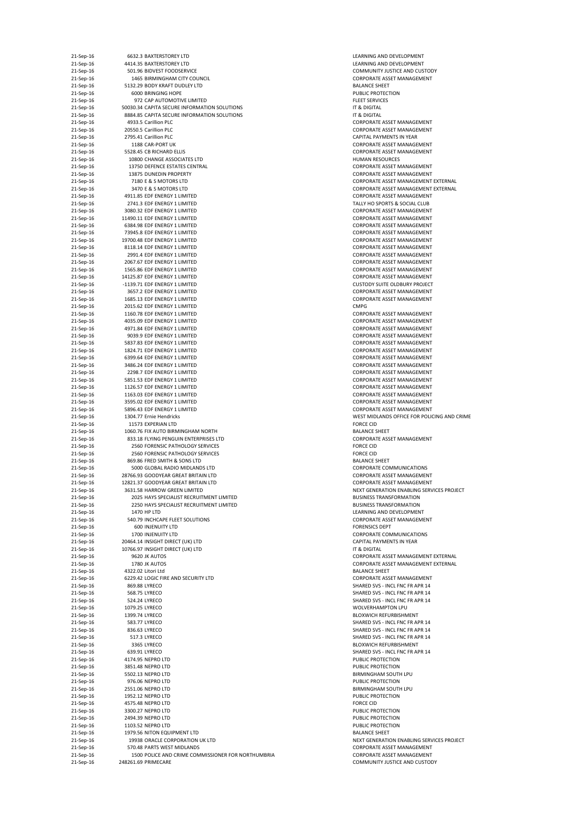| 21-Sep-16              | 6632.3 BAXTERSTOREY LTD                                                    | LEARNING AND DEVELOPMENT                                                  |
|------------------------|----------------------------------------------------------------------------|---------------------------------------------------------------------------|
| 21-Sep-16<br>21-Sep-16 | 4414.35 BAXTERSTOREY LTD<br>501.96 BIDVEST FOODSERVICE                     | LEARNING AND DEVELOPMENT<br><b>COMMUNITY JUSTICE AND CUSTODY</b>          |
| 21-Sep-16              | 1465 BIRMINGHAM CITY COUNCIL                                               | CORPORATE ASSET MANAGEMENT                                                |
| 21-Sep-16              | 5132.29 BODY KRAFT DUDLEY LTD                                              | <b>BALANCE SHEET</b>                                                      |
| 21-Sep-16              | <b>6000 BRINGING HOPE</b>                                                  | PUBLIC PROTECTION                                                         |
| 21-Sep-16<br>21-Sep-16 | 972 CAP AUTOMOTIVE LIMITED<br>50030.34 CAPITA SECURE INFORMATION SOLUTIONS | <b>FLEET SERVICES</b><br>IT & DIGITAL                                     |
| 21-Sep-16              | 8884.85 CAPITA SECURE INFORMATION SOLUTIONS                                | IT & DIGITAL                                                              |
| 21-Sep-16              | 4933.5 Carillion PLC                                                       | <b>CORPORATE ASSET MANAGEMENT</b>                                         |
| 21-Sep-16              | 20550.5 Carillion PLC                                                      | <b>CORPORATE ASSET MANAGEMENT</b>                                         |
| 21-Sep-16<br>21-Sep-16 | 2795.41 Carillion PLC<br>1188 CAR-PORT UK                                  | CAPITAL PAYMENTS IN YEAR<br><b>CORPORATE ASSET MANAGEMENT</b>             |
| 21-Sep-16              | 5528.45 CB RICHARD ELLIS                                                   | <b>CORPORATE ASSET MANAGEMENT</b>                                         |
| 21-Sep-16              | 10800 CHANGE ASSOCIATES LTD                                                | <b>HUMAN RESOURCES</b>                                                    |
| 21-Sep-16              | 13750 DEFENCE ESTATES CENTRAL                                              | <b>CORPORATE ASSET MANAGEMENT</b>                                         |
| 21-Sep-16<br>21-Sep-16 | 13875 DUNEDIN PROPERTY<br>7180 E & S MOTORS LTD                            | CORPORATE ASSET MANAGEMENT<br><b>CORPORATE ASSET MANAGEMENT EX</b>        |
| 21-Sep-16              | 3470 E & S MOTORS LTD                                                      | <b>CORPORATE ASSET MANAGEMENT EX</b>                                      |
| 21-Sep-16              | 4911.85 EDF ENERGY 1 LIMITED                                               | <b>CORPORATE ASSET MANAGEMENT</b>                                         |
| 21-Sep-16              | 2741.3 EDF ENERGY 1 LIMITED                                                | TALLY HO SPORTS & SOCIAL CLUB                                             |
| 21-Sep-16              | 3080.32 EDF ENERGY 1 LIMITED                                               | <b>CORPORATE ASSET MANAGEMENT</b>                                         |
| 21-Sep-16<br>21-Sep-16 | 11490.11 EDF ENERGY 1 LIMITED<br>6384.98 EDF ENERGY 1 LIMITED              | <b>CORPORATE ASSET MANAGEMENT</b><br><b>CORPORATE ASSET MANAGEMENT</b>    |
| 21-Sep-16              | 73945.8 EDF ENERGY 1 LIMITED                                               | <b>CORPORATE ASSET MANAGEMENT</b>                                         |
| 21-Sep-16              | 19700.48 EDF ENERGY 1 LIMITED                                              | CORPORATE ASSET MANAGEMENT                                                |
| 21-Sep-16              | 8118.14 EDF ENERGY 1 LIMITED                                               | <b>CORPORATE ASSET MANAGEMENT</b>                                         |
| 21-Sep-16<br>21-Sep-16 | 2991.4 EDF ENERGY 1 LIMITED<br>2067.67 EDF ENERGY 1 LIMITED                | <b>CORPORATE ASSET MANAGEMENT</b><br><b>CORPORATE ASSET MANAGEMENT</b>    |
| 21-Sep-16              | 1565.86 EDF ENERGY 1 LIMITED                                               | <b>CORPORATE ASSET MANAGEMENT</b>                                         |
| 21-Sep-16              | 14125.87 EDF ENERGY 1 LIMITED                                              | <b>CORPORATE ASSET MANAGEMENT</b>                                         |
| 21-Sep-16              | -1139.71 EDF ENERGY 1 LIMITED                                              | <b>CUSTODY SUITE OLDBURY PROJECT</b>                                      |
| 21-Sep-16<br>21-Sep-16 | 3657.2 EDF ENERGY 1 LIMITED<br>1685.13 EDF ENERGY 1 LIMITED                | CORPORATE ASSET MANAGEMENT<br><b>CORPORATE ASSET MANAGEMENT</b>           |
| 21-Sep-16              | 2015.62 EDF ENERGY 1 LIMITED                                               | <b>CMPG</b>                                                               |
| 21-Sep-16              | 1160.78 EDF ENERGY 1 LIMITED                                               | <b>CORPORATE ASSET MANAGEMENT</b>                                         |
| 21-Sep-16              | 4035.09 EDF ENERGY 1 LIMITED                                               | <b>CORPORATE ASSET MANAGEMENT</b>                                         |
| 21-Sep-16              | 4971.84 EDF ENERGY 1 LIMITED                                               | <b>CORPORATE ASSET MANAGEMENT</b>                                         |
| 21-Sep-16<br>21-Sep-16 | 9039.9 EDF ENERGY 1 LIMITED<br>5837.83 EDF ENERGY 1 LIMITED                | <b>CORPORATE ASSET MANAGEMENT</b><br><b>CORPORATE ASSET MANAGEMENT</b>    |
| 21-Sep-16              | 1824.71 EDF ENERGY 1 LIMITED                                               | <b>CORPORATE ASSET MANAGEMENT</b>                                         |
| 21-Sep-16              | 6399.64 EDF ENERGY 1 LIMITED                                               | <b>CORPORATE ASSET MANAGEMENT</b>                                         |
| 21-Sep-16              | 3486.24 EDF ENERGY 1 LIMITED                                               | <b>CORPORATE ASSET MANAGEMENT</b>                                         |
| 21-Sep-16<br>21-Sep-16 | 2298.7 EDF ENERGY 1 LIMITED<br>5851.53 EDF ENERGY 1 LIMITED                | <b>CORPORATE ASSET MANAGEMENT</b><br><b>CORPORATE ASSET MANAGEMENT</b>    |
| 21-Sep-16              | 1126.57 EDF ENERGY 1 LIMITED                                               | <b>CORPORATE ASSET MANAGEMENT</b>                                         |
| 21-Sep-16              | 1163.03 EDF ENERGY 1 LIMITED                                               | <b>CORPORATE ASSET MANAGEMENT</b>                                         |
| 21-Sep-16              | 3595.02 EDF ENERGY 1 LIMITED                                               | <b>CORPORATE ASSET MANAGEMENT</b>                                         |
| 21-Sep-16              | 5896.43 EDF ENERGY 1 LIMITED<br>1304.77 Ernie Hendricks                    | <b>CORPORATE ASSET MANAGEMENT</b>                                         |
| 21-Sep-16<br>21-Sep-16 | 11573 EXPERIAN LTD                                                         | WEST MIDLANDS OFFICE FOR POLICIN<br><b>FORCE CID</b>                      |
| 21-Sep-16              | 1060.76 FIX AUTO BIRMINGHAM NORTH                                          | <b>BALANCE SHEET</b>                                                      |
| 21-Sep-16              | 833.18 FLYING PENGUIN ENTERPRISES LTD                                      | <b>CORPORATE ASSET MANAGEMENT</b>                                         |
| 21-Sep-16              | 2560 FORENSIC PATHOLOGY SERVICES                                           | <b>FORCE CID</b>                                                          |
| 21-Sep-16<br>21-Sep-16 | 2560 FORENSIC PATHOLOGY SERVICES<br>869.86 FRED SMITH & SONS LTD           | <b>FORCE CID</b><br><b>BALANCE SHEET</b>                                  |
| 21-Sep-16              | 5000 GLOBAL RADIO MIDLANDS LTD                                             | <b>CORPORATE COMMUNICATIONS</b>                                           |
| 21-Sep-16              | 28766.93 GOODYEAR GREAT BRITAIN LTD                                        | <b>CORPORATE ASSET MANAGEMENT</b>                                         |
| 21-Sep-16              | 12821.37 GOODYEAR GREAT BRITAIN LTD                                        | <b>CORPORATE ASSET MANAGEMENT</b>                                         |
| 21-Sep-16<br>21-Sep-16 | 3631.58 HARROW GREEN LIMITED<br>2025 HAYS SPECIALIST RECRUITMENT LIMITED   | <b>NEXT GENERATION ENABLING SERVIC</b><br><b>BUSINESS TRANSFORMATION</b>  |
| 21-Sep-16              | 2250 HAYS SPECIALIST RECRUITMENT LIMITED                                   | <b>BUSINESS TRANSFORMATION</b>                                            |
| 21-Sep-16              | 1470 HP LTD                                                                | LEARNING AND DEVELOPMENT                                                  |
| 21-Sep-16              | 540.79 INCHCAPE FLEET SOLUTIONS                                            | <b>CORPORATE ASSET MANAGEMENT</b>                                         |
| 21-Sep-16<br>21-Sep-16 | <b>600 INJENUITY LTD</b><br>1700 INJENUITY LTD                             | <b>FORENSICS DEPT</b><br><b>CORPORATE COMMUNICATIONS</b>                  |
| 21-Sep-16              | 20464.14 INSIGHT DIRECT (UK) LTD                                           | <b>CAPITAL PAYMENTS IN YEAR</b>                                           |
| 21-Sep-16              | 10766.97 INSIGHT DIRECT (UK) LTD                                           | IT & DIGITAL                                                              |
| 21-Sep-16              | 9620 JK AUTOS                                                              | <b>CORPORATE ASSET MANAGEMENT EX</b>                                      |
| 21-Sep-16              | 1780 JK AUTOS                                                              | <b>CORPORATE ASSET MANAGEMENT EX</b>                                      |
| 21-Sep-16<br>21-Sep-16 | 4322.02 Litori Ltd<br>6229.42 LOGIC FIRE AND SECURITY LTD                  | <b>BALANCE SHEET</b><br><b>CORPORATE ASSET MANAGEMENT</b>                 |
| 21-Sep-16              | 869.88 LYRECO                                                              | SHARED SVS - INCL FNC FR APR 14                                           |
| 21-Sep-16              | 568.75 LYRECO                                                              | SHARED SVS - INCL FNC FR APR 14                                           |
| 21-Sep-16              | 524.24 LYRECO                                                              | SHARED SVS - INCL FNC FR APR 14                                           |
| 21-Sep-16              | 1079.25 LYRECO                                                             | <b>WOLVERHAMPTON LPU</b>                                                  |
| 21-Sep-16<br>21-Sep-16 | 1399.74 LYRECO<br>583.77 LYRECO                                            | <b>BLOXWICH REFURBISHMENT</b><br>SHARED SVS - INCL FNC FR APR 14          |
| 21-Sep-16              | 836.63 LYRECO                                                              | SHARED SVS - INCL FNC FR APR 14                                           |
| 21-Sep-16              | 517.3 LYRECO                                                               | SHARED SVS - INCL FNC FR APR 14                                           |
| 21-Sep-16              | 3365 LYRECO                                                                | <b>BLOXWICH REFURBISHMENT</b>                                             |
| 21-Sep-16              | 639.91 LYRECO                                                              | SHARED SVS - INCL FNC FR APR 14                                           |
| 21-Sep-16<br>21-Sep-16 | 4174.95 NEPRO LTD<br>3851.48 NEPRO LTD                                     | PUBLIC PROTECTION<br>PUBLIC PROTECTION                                    |
| 21-Sep-16              | 5502.13 NEPRO LTD                                                          | <b>BIRMINGHAM SOUTH LPU</b>                                               |
| 21-Sep-16              | 976.06 NEPRO LTD                                                           | PUBLIC PROTECTION                                                         |
| 21-Sep-16              | 2551.06 NEPRO LTD                                                          | <b>BIRMINGHAM SOUTH LPU</b>                                               |
| 21-Sep-16              | 1952.12 NEPRO LTD                                                          | PUBLIC PROTECTION                                                         |
| 21-Sep-16              | 4575.48 NEPRO LTD<br>3300.27 NEPRO LTD                                     | <b>FORCE CID</b><br>PUBLIC PROTECTION                                     |
| 21-Sep-16<br>21-Sep-16 | 2494.39 NEPRO LTD                                                          | PUBLIC PROTECTION                                                         |
| 21-Sep-16              | 1103.52 NEPRO LTD                                                          | PUBLIC PROTECTION                                                         |
| 21-Sep-16              | 1979.56 NITON EQUIPMENT LTD                                                | <b>BALANCE SHEET</b>                                                      |
| 21-Sep-16              | 19938 ORACLE CORPORATION UK LTD                                            | NEXT GENERATION ENABLING SERVIC                                           |
| 21-Sep-16              | 570.48 PARTS WEST MIDLANDS                                                 | <b>CORPORATE ASSET MANAGEMENT</b>                                         |
| 21-Sep-16<br>21-Sep-16 | 1500 POLICE AND CRIME COMMISSIONER FOR NORTHUMBRIA<br>248261.69 PRIMECARE  | <b>CORPORATE ASSET MANAGEMENT</b><br><b>COMMUNITY JUSTICE AND CUSTODY</b> |
|                        |                                                                            |                                                                           |

LEARNING AND DEVELOPMENT LEARNING AND DEVELOPMENT COMMUNITY JUSTICE AND CUSTODY CORPORATE ASSET MANAGEMENT PUBLIC PROTECTION FLEET SERVICES CORPORATE ASSET MANAGEMENT CORPORATE ASSET MANAGEMENT CAPITAL PAYMENTS IN YEAR CORPORATE ASSET MANAGEMENT CORPORATE ASSET MANAGEMENT HUMAN RESOURCES CORPORATE ASSET MANAGEMENT CORPORATE ASSET MANAGEMENT CORPORATE ASSET MANAGEMENT EXTERNAL CORPORATE ASSET MANAGEMENT EXTERNAL CORPORATE ASSET MANAGEMENT TALLY HO SPORTS & SOCIAL CLUB CORPORATE ASSET MANAGEMENT CORPORATE ASSET MANAGEMENT CORPORATE ASSET MANAGEMENT CORPORATE ASSET MANAGEMENT CORPORATE ASSET MANAGEMENT CORPORATE ASSET MANAGEMENT CORPORATE ASSET MANAGEMENT CORPORATE ASSET MANAGEMENT CORPORATE ASSET MANAGEMENT CORPORATE ASSET MANAGEMENT CUSTODY SUITE OLDBURY PROJECT CORPORATE ASSET MANAGEMENT CORPORATE ASSET MANAGEMENT CORPORATE ASSET MANAGEMENT CORPORATE ASSET MANAGEMENT CORPORATE ASSET MANAGEMENT CORPORATE ASSET MANAGEMENT CORPORATE ASSET MANAGEMENT CORPORATE ASSET MANAGEMENT CORPORATE ASSET MANAGEMENT CORPORATE ASSET MANAGEMENT CORPORATE ASSET MANAGEMENT CORPORATE ASSET MANAGEMENT CORPORATE ASSET MANAGEMENT CORPORATE ASSET MANAGEMENT CORPORATE ASSET MANAGEMENT CORPORATE ASSET MANAGEMENT WEST MIDLANDS OFFICE FOR POLICING AND CRIME BALANCE SHEET CORPORATE ASSET MANAGEMENT CORPORATE COMMUNICATIONS CORPORATE ASSET MANAGEMENT CORPORATE ASSET MANAGEMENT NEXT GENERATION ENABLING SERVICES PROJECT BUSINESS TRANSFORMATION BUSINESS TRANSFORMATION LEARNING AND DEVELOPMENT CORPORATE ASSET MANAGEMENT FORENSICS DEPT CORPORATE COMMUNICATIONS CAPITAL PAYMENTS IN YEAR CORPORATE ASSET MANAGEMENT EXTERNAL CORPORATE ASSET MANAGEMENT EXTERNAL CORPORATE ASSET MANAGEMENT SHARED SVS - INCL FNC FR APR 14 SHARED SVS - INCL FNC FR APR 14 SHARED SVS - INCL FNC FR APR 14 WOLVERHAMPTON LPU BLOXWICH REFURBISHMENT SHARED SVS - INCL FNC FR APR 14 SHARED SVS - INCL FNC FR APR 14 SHARED SVS - INCL FNC FR APR 14 BLOXWICH REFURBISHMENT SHARED SVS - INCL FNC FR APR 14 PUBLIC PROTECTION PUBLIC PROTECTION BIRMINGHAM SOUTH LPU PUBLIC PROTECTION BIRMINGHAM SOUTH LPU PUBLIC PROTECTION PUBLIC PROTECTION PUBLIC PROTECTION PUBLIC PROTECTION BALANCE SHEET NEXT GENERATION ENABLING SERVICES PROJECT CORPORATE ASSET MANAGEMENT CORPORATE ASSET MANAGEMENT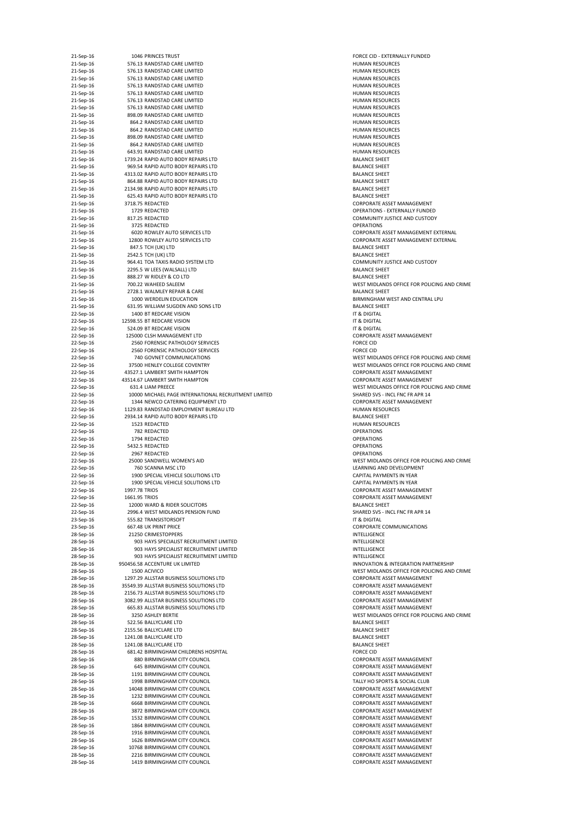| 21-Sep-16<br>21-Sep-16<br>21-Sep-16 |               |                                                              |                                              |
|-------------------------------------|---------------|--------------------------------------------------------------|----------------------------------------------|
|                                     |               | 1046 PRINCES TRUST                                           | <b>FORCE CID - EXT</b>                       |
|                                     |               | 576.13 RANDSTAD CARE LIMITED                                 | <b>HUMAN RESOU</b>                           |
|                                     |               | 576.13 RANDSTAD CARE LIMITED                                 | <b>HUMAN RESOU</b>                           |
| 21-Sep-16                           |               | 576.13 RANDSTAD CARE LIMITED                                 | <b>HUMAN RESOU</b>                           |
| 21-Sep-16                           |               | 576.13 RANDSTAD CARE LIMITED                                 | <b>HUMAN RESOU</b>                           |
| 21-Sep-16                           |               | 576.13 RANDSTAD CARE LIMITED                                 | <b>HUMAN RESOU</b>                           |
| 21-Sep-16                           |               | 576.13 RANDSTAD CARE LIMITED                                 | <b>HUMAN RESOU</b>                           |
| 21-Sep-16                           |               | 576.13 RANDSTAD CARE LIMITED                                 | <b>HUMAN RESOU</b>                           |
| 21-Sep-16                           |               | 898.09 RANDSTAD CARE LIMITED                                 | <b>HUMAN RESOU</b>                           |
| 21-Sep-16                           |               | 864.2 RANDSTAD CARE LIMITED                                  | <b>HUMAN RESOU</b>                           |
| 21-Sep-16                           |               | 864.2 RANDSTAD CARE LIMITED                                  | <b>HUMAN RESOU</b>                           |
| 21-Sep-16                           |               | 898.09 RANDSTAD CARE LIMITED                                 | <b>HUMAN RESOU</b>                           |
|                                     |               |                                                              |                                              |
| 21-Sep-16                           |               | 864.2 RANDSTAD CARE LIMITED                                  | <b>HUMAN RESOU</b>                           |
| 21-Sep-16                           |               | 643.91 RANDSTAD CARE LIMITED                                 | <b>HUMAN RESOU</b>                           |
| 21-Sep-16                           |               | 1739.24 RAPID AUTO BODY REPAIRS LTD                          | <b>BALANCE SHEET</b>                         |
| 21-Sep-16                           |               | 969.54 RAPID AUTO BODY REPAIRS LTD                           | <b>BALANCE SHEET</b>                         |
| 21-Sep-16                           |               | 4313.02 RAPID AUTO BODY REPAIRS LTD                          | <b>BALANCE SHEET</b>                         |
| 21-Sep-16                           |               | 864.88 RAPID AUTO BODY REPAIRS LTD                           | <b>BALANCE SHEET</b>                         |
| 21-Sep-16                           |               | 2134.98 RAPID AUTO BODY REPAIRS LTD                          | <b>BALANCE SHEET</b>                         |
| 21-Sep-16                           |               | 625.43 RAPID AUTO BODY REPAIRS LTD                           | <b>BALANCE SHEET</b>                         |
| 21-Sep-16                           |               | 3718.75 REDACTED                                             | <b>CORPORATE ASS</b>                         |
|                                     |               |                                                              |                                              |
| 21-Sep-16                           |               | 1729 REDACTED                                                | <b>OPERATIONS - E</b>                        |
| 21-Sep-16                           |               | 817.25 REDACTED                                              | <b>COMMUNITY JU</b>                          |
| 21-Sep-16                           |               | 3725 REDACTED                                                | <b>OPERATIONS</b>                            |
| 21-Sep-16                           |               | <b>6020 ROWLEY AUTO SERVICES LTD</b>                         | <b>CORPORATE ASS</b>                         |
| 21-Sep-16                           |               | 12800 ROWLEY AUTO SERVICES LTD                               | <b>CORPORATE AS:</b>                         |
| 21-Sep-16                           |               | 847.5 TCH (UK) LTD                                           | <b>BALANCE SHEET</b>                         |
| 21-Sep-16                           |               | 2542.5 TCH (UK) LTD                                          | <b>BALANCE SHEET</b>                         |
| 21-Sep-16                           |               | 964.41 TOA TAXIS RADIO SYSTEM LTD                            | <b>COMMUNITY JU</b>                          |
| 21-Sep-16                           |               | 2295.5 W LEES (WALSALL) LTD                                  | <b>BALANCE SHEET</b>                         |
|                                     |               |                                                              |                                              |
| 21-Sep-16                           |               | 888.27 W RIDLEY & CO LTD                                     | BALANCE SHEET                                |
| 21-Sep-16                           |               | 700.22 WAHEED SALEEM                                         | <b>WEST MIDLAND</b>                          |
| 21-Sep-16                           |               | 2728.1 WALMLEY REPAIR & CARE                                 | <b>BALANCE SHEET</b>                         |
| 21-Sep-16                           |               | 1000 WERDELIN EDUCATION                                      | <b>BIRMINGHAM V</b>                          |
| 21-Sep-16                           |               | 631.95 WILLIAM SUGDEN AND SONS LTD                           | <b>BALANCE SHEET</b>                         |
| 22-Sep-16                           |               | 1400 BT REDCARE VISION                                       | IT & DIGITAL                                 |
| 22-Sep-16                           |               | 12598.55 BT REDCARE VISION                                   | IT & DIGITAL                                 |
| 22-Sep-16                           |               | 524.09 BT REDCARE VISION                                     | IT & DIGITAL                                 |
|                                     |               |                                                              |                                              |
| 22-Sep-16                           |               | 125000 CLSH MANAGEMENT LTD                                   | <b>CORPORATE AS:</b>                         |
| 22-Sep-16                           |               | 2560 FORENSIC PATHOLOGY SERVICES                             | <b>FORCE CID</b>                             |
| 22-Sep-16                           |               | 2560 FORENSIC PATHOLOGY SERVICES                             | <b>FORCE CID</b>                             |
| 22-Sep-16                           |               | 740 GOVNET COMMUNICATIONS                                    | <b>WEST MIDLAND</b>                          |
| 22-Sep-16                           |               | 37500 HENLEY COLLEGE COVENTRY                                | <b>WEST MIDLAND</b>                          |
| 22-Sep-16                           |               | 43527.1 LAMBERT SMITH HAMPTON                                | <b>CORPORATE ASS</b>                         |
| 22-Sep-16                           |               | 43514.67 LAMBERT SMITH HAMPTON                               | <b>CORPORATE ASS</b>                         |
| 22-Sep-16                           |               | 631.4 LIAM PREECE                                            | <b>WEST MIDLAND</b>                          |
| 22-Sep-16                           |               | 10000 MICHAEL PAGE INTERNATIONAL RECRUITMENT LIMITED         | SHARED SVS - IN                              |
|                                     |               |                                                              |                                              |
|                                     |               |                                                              |                                              |
| 22-Sep-16                           |               | 1344 NEWCO CATERING EQUIPMENT LTD                            | <b>CORPORATE ASS</b>                         |
| 22-Sep-16                           |               | 1129.83 RANDSTAD EMPLOYMENT BUREAU LTD                       | <b>HUMAN RESOU</b>                           |
| 22-Sep-16                           |               | 2934.14 RAPID AUTO BODY REPAIRS LTD                          | <b>BALANCE SHEET</b>                         |
| 22-Sep-16                           |               | 1523 REDACTED                                                | <b>HUMAN RESOU</b>                           |
| 22-Sep-16                           |               | 782 REDACTED                                                 | <b>OPERATIONS</b>                            |
| 22-Sep-16                           |               | 1794 REDACTED                                                | <b>OPERATIONS</b>                            |
|                                     |               |                                                              |                                              |
| 22-Sep-16                           |               | 5432.5 REDACTED                                              | <b>OPERATIONS</b>                            |
| 22-Sep-16                           |               | 2967 REDACTED                                                | <b>OPERATIONS</b>                            |
| 22-Sep-16                           |               | 25000 SANDWELL WOMEN'S AID                                   | <b>WEST MIDLAND</b>                          |
| 22-Sep-16                           |               | 760 SCANNA MSC LTD                                           | LEARNING AND                                 |
| 22-Sep-16                           |               | 1900 SPECIAL VEHICLE SOLUTIONS LTD                           | <b>CAPITAL PAYME</b>                         |
| 22-Sep-16                           |               | 1900 SPECIAL VEHICLE SOLUTIONS LTD                           | <b>CAPITAL PAYME</b>                         |
| 22-Sep-16                           | 1997.78 TRIOS |                                                              | <b>CORPORATE ASS</b>                         |
| 22-Sep-16                           | 1661.95 TRIOS |                                                              | <b>CORPORATE ASS</b>                         |
|                                     |               | 12000 WARD & RIDER SOLICITORS                                | BALANCE SHEET                                |
| 22-Sep-16                           |               |                                                              |                                              |
| 22-Sep-16                           |               | 2996.4 WEST MIDLANDS PENSION FUND                            | <b>SHARED SVS - IN</b>                       |
| 23-Sep-16                           |               | 555.82 TRANSISTORSOFT                                        | IT & DIGITAL                                 |
| 23-Sep-16                           |               | 667.48 UK PRINT PRICE                                        | <b>CORPORATE CO</b>                          |
| 28-Sep-16                           |               | 21250 CRIMESTOPPERS                                          | <b>INTELLIGENCE</b>                          |
| 28-Sep-16                           |               | 903 HAYS SPECIALIST RECRUITMENT LIMITED                      | <b>INTELLIGENCE</b>                          |
| 28-Sep-16                           |               | 903 HAYS SPECIALIST RECRUITMENT LIMITED                      | <b>INTELLIGENCE</b>                          |
| 28-Sep-16                           |               | 903 HAYS SPECIALIST RECRUITMENT LIMITED                      | <b>INTELLIGENCE</b>                          |
| 28-Sep-16                           |               | 950456.58 ACCENTURE UK LIMITED                               | <b>INNOVATION &amp;</b>                      |
| 28-Sep-16                           |               | 1500 ACIVICO                                                 | <b>WEST MIDLAND</b>                          |
| 28-Sep-16                           |               | 1297.29 ALLSTAR BUSINESS SOLUTIONS LTD                       | <b>CORPORATE ASS</b>                         |
| 28-Sep-16                           |               | 35549.39 ALLSTAR BUSINESS SOLUTIONS LTD                      | <b>CORPORATE ASS</b>                         |
|                                     |               | 2156.73 ALLSTAR BUSINESS SOLUTIONS LTD                       | <b>CORPORATE ASS</b>                         |
| 28-Sep-16                           |               |                                                              |                                              |
| 28-Sep-16                           |               | 3082.99 ALLSTAR BUSINESS SOLUTIONS LTD                       | <b>CORPORATE AS:</b>                         |
| 28-Sep-16                           |               | 665.83 ALLSTAR BUSINESS SOLUTIONS LTD                        | <b>CORPORATE ASS</b>                         |
| 28-Sep-16                           |               | 3250 ASHLEY BERTIE                                           | <b>WEST MIDLAND</b>                          |
| 28-Sep-16                           |               | 522.56 BALLYCLARE LTD                                        | <b>BALANCE SHEET</b>                         |
| 28-Sep-16                           |               | 2155.56 BALLYCLARE LTD                                       | <b>BALANCE SHEET</b>                         |
| 28-Sep-16                           |               | 1241.08 BALLYCLARE LTD                                       | <b>BALANCE SHEET</b>                         |
| 28-Sep-16                           |               | 1241.08 BALLYCLARE LTD                                       | <b>BALANCE SHEET</b>                         |
| 28-Sep-16                           |               | 681.42 BIRMINGHAM CHILDRENS HOSPITAL                         | <b>FORCE CID</b>                             |
| 28-Sep-16                           |               | 880 BIRMINGHAM CITY COUNCIL                                  | <b>CORPORATE ASS</b>                         |
|                                     |               |                                                              |                                              |
| 28-Sep-16                           |               | 645 BIRMINGHAM CITY COUNCIL                                  | <b>CORPORATE ASS</b>                         |
| 28-Sep-16                           |               | 1191 BIRMINGHAM CITY COUNCIL                                 | <b>CORPORATE AS:</b>                         |
| 28-Sep-16                           |               | 1998 BIRMINGHAM CITY COUNCIL                                 | <b>TALLY HO SPORT</b>                        |
| 28-Sep-16                           |               | 14048 BIRMINGHAM CITY COUNCIL                                | <b>CORPORATE ASS</b>                         |
| 28-Sep-16                           |               | 1232 BIRMINGHAM CITY COUNCIL                                 | <b>CORPORATE ASS</b>                         |
| 28-Sep-16                           |               | <b>6668 BIRMINGHAM CITY COUNCIL</b>                          | <b>CORPORATE AS:</b>                         |
| 28-Sep-16                           |               | 3872 BIRMINGHAM CITY COUNCIL                                 | <b>CORPORATE ASS</b>                         |
| 28-Sep-16                           |               | 1532 BIRMINGHAM CITY COUNCIL                                 | <b>CORPORATE ASS</b>                         |
|                                     |               |                                                              |                                              |
| 28-Sep-16                           |               | 1864 BIRMINGHAM CITY COUNCIL                                 | <b>CORPORATE ASS</b>                         |
| 28-Sep-16                           |               | 1916 BIRMINGHAM CITY COUNCIL                                 | <b>CORPORATE ASS</b>                         |
| 28-Sep-16                           |               | 1626 BIRMINGHAM CITY COUNCIL                                 | <b>CORPORATE AS:</b>                         |
| 28-Sep-16                           |               | 10768 BIRMINGHAM CITY COUNCIL                                | <b>CORPORATE ASS</b>                         |
| 28-Sep-16<br>28-Sep-16              |               | 2216 BIRMINGHAM CITY COUNCIL<br>1419 BIRMINGHAM CITY COUNCIL | <b>CORPORATE ASS</b><br><b>CORPORATE ASS</b> |

FORCE CID - EXTERNALLY FUNDED HUMAN RESOURCES HUMAN RESOURCES HUMAN RESOURCES HUMAN RESOURCES HUMAN RESOURCES HUMAN RESOURCES HUMAN RESOURCES HUMAN RESOURCES HUMAN RESOURCES HUMAN RESOURCES HUMAN RESOURCES HUMAN RESOURCES HUMAN RESOURCES BALANCE SHEET BALANCE SHEET BALANCE SHEET BALANCE SHEET CORPORATE ASSET MANAGEMENT OPERATIONS - EXTERNALLY FUNDED COMMUNITY JUSTICE AND CUSTODY CORPORATE ASSET MANAGEMENT EXTERNAL CORPORATE ASSET MANAGEMENT EXTERNAL BALANCE SHEET COMMUNITY JUSTICE AND CUSTODY WEST MIDLANDS OFFICE FOR POLICING AND CRIME BIRMINGHAM WEST AND CENTRAL LPU BALANCE SHEET CORPORATE ASSET MANAGEMENT WEST MIDLANDS OFFICE FOR POLICING AND CRIME WEST MIDLANDS OFFICE FOR POLICING AND CRIME CORPORATE ASSET MANAGEMENT CORPORATE ASSET MANAGEMENT WEST MIDLANDS OFFICE FOR POLICING AND CRIME 22-SHARED SVS - INCL FNC FR APR 14 CORPORATE ASSET MANAGEMENT HUMAN RESOURCES BALANCE SHEET HUMAN RESOURCES WEST MIDLANDS OFFICE FOR POLICING AND CRIME LEARNING AND DEVELOPMENT CAPITAL PAYMENTS IN YEAR CAPITAL PAYMENTS IN YEAR CORPORATE ASSET MANAGEMENT CORPORATE ASSET MANAGEMENT BALANCE SHEET SHARED SVS - INCL FNC FR APR 14 CORPORATE COMMUNICATIONS INNOVATION & INTEGRATION PARTNERSHIP WEST MIDLANDS OFFICE FOR POLICING AND CRIME CORPORATE ASSET MANAGEMENT CORPORATE ASSET MANAGEMENT CORPORATE ASSET MANAGEMENT CORPORATE ASSET MANAGEMENT CORPORATE ASSET MANAGEMENT WEST MIDLANDS OFFICE FOR POLICING AND CRIME BALANCE SHEET BALANCE SHEET BALANCE SHEET BALANCE SHEET CORPORATE ASSET MANAGEMENT CORPORATE ASSET MANAGEMENT CORPORATE ASSET MANAGEMENT TALLY HO SPORTS & SOCIAL CLUB CORPORATE ASSET MANAGEMENT CORPORATE ASSET MANAGEMENT CORPORATE ASSET MANAGEMENT CORPORATE ASSET MANAGEMENT CORPORATE ASSET MANAGEMENT CORPORATE ASSET MANAGEMENT CORPORATE ASSET MANAGEMENT CORPORATE ASSET MANAGEMENT CORPORATE ASSET MANAGEMENT CORPORATE ASSET MANAGEMENT CORPORATE ASSET MANAGEMENT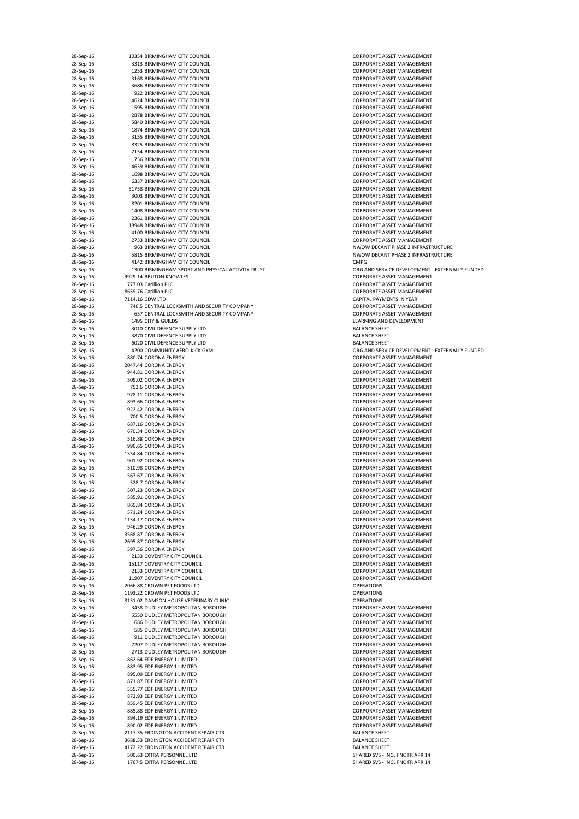| 28-Sep-16              | 10354 BIRMINGHAM CITY COUNCIL                                | <b>CORPORATE ASSET MANAGEMENT</b>                                      |
|------------------------|--------------------------------------------------------------|------------------------------------------------------------------------|
| 28-Sep-16              | 3313 BIRMINGHAM CITY COUNCIL                                 | <b>CORPORATE ASSET MANAGEMENT</b>                                      |
| 28-Sep-16              | 1253 BIRMINGHAM CITY COUNCIL                                 | <b>CORPORATE ASSET MANAGEMENT</b>                                      |
| 28-Sep-16              | 3168 BIRMINGHAM CITY COUNCIL                                 | <b>CORPORATE ASSET MANAGEMENT</b>                                      |
| 28-Sep-16              | 3686 BIRMINGHAM CITY COUNCIL                                 | <b>CORPORATE ASSET MANAGEMENT</b>                                      |
| 28-Sep-16              | 922 BIRMINGHAM CITY COUNCIL                                  | <b>CORPORATE ASSET MANAGEMENT</b>                                      |
| 28-Sep-16              | 4624 BIRMINGHAM CITY COUNCIL                                 | <b>CORPORATE ASSET MANAGEMENT</b>                                      |
| 28-Sep-16              | 1595 BIRMINGHAM CITY COUNCIL                                 | <b>CORPORATE ASSET MANAGEMENT</b>                                      |
| 28-Sep-16              | 2878 BIRMINGHAM CITY COUNCIL                                 | <b>CORPORATE ASSET MANAGEMENT</b>                                      |
| 28-Sep-16              | 5840 BIRMINGHAM CITY COUNCIL                                 | <b>CORPORATE ASSET MANAGEMENT</b>                                      |
| 28-Sep-16              | 1874 BIRMINGHAM CITY COUNCIL                                 | <b>CORPORATE ASSET MANAGEMENT</b>                                      |
| 28-Sep-16              | 3155 BIRMINGHAM CITY COUNCIL                                 | <b>CORPORATE ASSET MANAGEMENT</b>                                      |
| 28-Sep-16              | 8325 BIRMINGHAM CITY COUNCIL                                 | <b>CORPORATE ASSET MANAGEMENT</b>                                      |
| 28-Sep-16              | 2154 BIRMINGHAM CITY COUNCIL                                 | <b>CORPORATE ASSET MANAGEMENT</b>                                      |
| 28-Sep-16              | 756 BIRMINGHAM CITY COUNCIL                                  | <b>CORPORATE ASSET MANAGEMENT</b>                                      |
| 28-Sep-16              | 4639 BIRMINGHAM CITY COUNCIL                                 | <b>CORPORATE ASSET MANAGEMENT</b>                                      |
| 28-Sep-16              | 1698 BIRMINGHAM CITY COUNCIL                                 | <b>CORPORATE ASSET MANAGEMENT</b>                                      |
| 28-Sep-16              | 6337 BIRMINGHAM CITY COUNCIL                                 | <b>CORPORATE ASSET MANAGEMENT</b>                                      |
| 28-Sep-16              | 51758 BIRMINGHAM CITY COUNCIL                                | <b>CORPORATE ASSET MANAGEMENT</b>                                      |
| 28-Sep-16              | 3003 BIRMINGHAM CITY COUNCIL                                 | <b>CORPORATE ASSET MANAGEMENT</b><br><b>CORPORATE ASSET MANAGEMENT</b> |
| 28-Sep-16<br>28-Sep-16 | 8201 BIRMINGHAM CITY COUNCIL<br>1408 BIRMINGHAM CITY COUNCIL | <b>CORPORATE ASSET MANAGEMENT</b>                                      |
| 28-Sep-16              | 2361 BIRMINGHAM CITY COUNCIL                                 | <b>CORPORATE ASSET MANAGEMENT</b>                                      |
| 28-Sep-16              | 18948 BIRMINGHAM CITY COUNCIL                                | <b>CORPORATE ASSET MANAGEMENT</b>                                      |
| 28-Sep-16              | 4100 BIRMINGHAM CITY COUNCIL                                 | <b>CORPORATE ASSET MANAGEMENT</b>                                      |
| 28-Sep-16              | 2733 BIRMINGHAM CITY COUNCIL                                 | <b>CORPORATE ASSET MANAGEMENT</b>                                      |
| 28-Sep-16              | 963 BIRMINGHAM CITY COUNCIL                                  | NWOW DECANT PHASE 2 INFRASTRUCTURE                                     |
| 28-Sep-16              | 5815 BIRMINGHAM CITY COUNCIL                                 | NWOW DECANT PHASE 2 INFRASTRUCTURE                                     |
| 28-Sep-16              | 4142 BIRMINGHAM CITY COUNCIL                                 | <b>CMPG</b>                                                            |
| 28-Sep-16              | 1300 BIRMINGHAM SPORT AND PHYSICAL ACTIVITY TRUST            | ORG AND SERVICE DEVELOPMENT - EXTERNALLY FUNDED                        |
| 28-Sep-16              | 9929.14 BRUTON KNOWLES                                       | <b>CORPORATE ASSET MANAGEMENT</b>                                      |
| 28-Sep-16              | 777.03 Carillion PLC                                         | <b>CORPORATE ASSET MANAGEMENT</b>                                      |
| 28-Sep-16              | 18659.76 Carillion PLC                                       | <b>CORPORATE ASSET MANAGEMENT</b>                                      |
| 28-Sep-16              | 7114.16 CDW LTD                                              | CAPITAL PAYMENTS IN YEAR                                               |
| 28-Sep-16              | 746.5 CENTRAL LOCKSMITH AND SECURITY COMPANY                 | <b>CORPORATE ASSET MANAGEMENT</b>                                      |
| 28-Sep-16              | 657 CENTRAL LOCKSMITH AND SECURITY COMPANY                   | <b>CORPORATE ASSET MANAGEMENT</b>                                      |
| 28-Sep-16              | 1495 CITY & GUILDS                                           | LEARNING AND DEVELOPMENT                                               |
| 28-Sep-16              | 3010 CIVIL DEFENCE SUPPLY LTD                                | <b>BALANCE SHEET</b>                                                   |
| 28-Sep-16              | 3870 CIVIL DEFENCE SUPPLY LTD                                | <b>BALANCE SHEET</b>                                                   |
| 28-Sep-16              | 6020 CIVIL DEFENCE SUPPLY LTD                                | <b>BALANCE SHEET</b>                                                   |
| 28-Sep-16              | 4200 COMMUNITY AERO-KICK GYM                                 | ORG AND SERVICE DEVELOPMENT - EXTERNALLY FUNDED                        |
| 28-Sep-16              | 880.74 CORONA ENERGY                                         | <b>CORPORATE ASSET MANAGEMENT</b>                                      |
| 28-Sep-16              | 2047.44 CORONA ENERGY                                        | <b>CORPORATE ASSET MANAGEMENT</b>                                      |
| 28-Sep-16<br>28-Sep-16 | 944.81 CORONA ENERGY<br>509.02 CORONA ENERGY                 | <b>CORPORATE ASSET MANAGEMENT</b><br><b>CORPORATE ASSET MANAGEMENT</b> |
| 28-Sep-16              | 753.6 CORONA ENERGY                                          | <b>CORPORATE ASSET MANAGEMENT</b>                                      |
| 28-Sep-16              | 978.11 CORONA ENERGY                                         | <b>CORPORATE ASSET MANAGEMENT</b>                                      |
| 28-Sep-16              | 893.66 CORONA ENERGY                                         | <b>CORPORATE ASSET MANAGEMENT</b>                                      |
| 28-Sep-16              | 922.42 CORONA ENERGY                                         | <b>CORPORATE ASSET MANAGEMENT</b>                                      |
| 28-Sep-16              | 700.5 CORONA ENERGY                                          | <b>CORPORATE ASSET MANAGEMENT</b>                                      |
| 28-Sep-16              | 687.16 CORONA ENERGY                                         | <b>CORPORATE ASSET MANAGEMENT</b>                                      |
| 28-Sep-16              | 670.34 CORONA ENERGY                                         | <b>CORPORATE ASSET MANAGEMENT</b>                                      |
| 28-Sep-16              | 516.88 CORONA ENERGY                                         | <b>CORPORATE ASSET MANAGEMENT</b>                                      |
| 28-Sep-16              | 990.65 CORONA ENERGY                                         | <b>CORPORATE ASSET MANAGEMENT</b>                                      |
| 28-Sep-16              | 1334.84 CORONA ENERGY                                        | <b>CORPORATE ASSET MANAGEMENT</b>                                      |
| 28-Sep-16              | 901.92 CORONA ENERGY                                         | <b>CORPORATE ASSET MANAGEMENT</b>                                      |
| 28-Sep-16              | 510.98 CORONA ENERGY                                         | <b>CORPORATE ASSET MANAGEMENT</b>                                      |
| 28-Sep-16              | 567.67 CORONA ENERGY                                         | <b>CORPORATE ASSET MANAGEMENT</b>                                      |
| 28-Sep-16              | 528.7 CORONA ENERGY                                          | <b>CORPORATE ASSET MANAGEMENT</b>                                      |
| 28-Sep-16              | 507.23 CORONA ENERGY                                         | <b>CORPORATE ASSET MANAGEMENT</b>                                      |
| 28-Sep-16              | 585.91 CORONA ENERGY                                         | <b>CORPORATE ASSET MANAGEMENT</b>                                      |
| 28-Sep-16<br>28-Sep-16 | 865.84 CORONA ENERGY<br>571.24 CORONA ENERGY                 | <b>CORPORATE ASSET MANAGEMENT</b><br><b>CORPORATE ASSET MANAGEMENT</b> |
| 28-Sep-16              | 1154.17 CORONA ENERGY                                        | <b>CORPORATE ASSET MANAGEMENT</b>                                      |
| 28-Sep-16              | 946.29 CORONA ENERGY                                         | <b>CORPORATE ASSET MANAGEMENT</b>                                      |
| 28-Sep-16              | 3568.87 CORONA ENERGY                                        | <b>CORPORATE ASSET MANAGEMENT</b>                                      |
| 28-Sep-16              | 2695.87 CORONA ENERGY                                        | <b>CORPORATE ASSET MANAGEMENT</b>                                      |
| 28-Sep-16              | 597.56 CORONA ENERGY                                         | <b>CORPORATE ASSET MANAGEMENT</b>                                      |
| 28-Sep-16              | 2133 COVENTRY CITY COUNCIL                                   | <b>CORPORATE ASSET MANAGEMENT</b>                                      |
| 28-Sep-16              | 15117 COVENTRY CITY COUNCIL                                  | <b>CORPORATE ASSET MANAGEMENT</b>                                      |
| 28-Sep-16              | 2133 COVENTRY CITY COUNCIL                                   | CORPORATE ASSET MANAGEMENT                                             |
| 28-Sep-16              | 11907 COVENTRY CITY COUNCIL                                  | <b>CORPORATE ASSET MANAGEMENT</b>                                      |
| 28-Sep-16              |                                                              |                                                                        |
| 28-Sep-16              | 2066.88 CROWN PET FOODS LTD                                  | <b>OPERATIONS</b>                                                      |
|                        | 1193.22 CROWN PET FOODS LTD                                  | <b>OPERATIONS</b>                                                      |
| 28-Sep-16              | 3151.02 DAMSON HOUSE VETERINARY CLINIC                       | <b>OPERATIONS</b>                                                      |
| 28-Sep-16              | 3458 DUDLEY METROPOLITAN BOROUGH                             | <b>CORPORATE ASSET MANAGEMENT</b>                                      |
| 28-Sep-16              | 5550 DUDLEY METROPOLITAN BOROUGH                             | <b>CORPORATE ASSET MANAGEMENT</b>                                      |
| 28-Sep-16              | <b>686 DUDLEY METROPOLITAN BOROUGH</b>                       | <b>CORPORATE ASSET MANAGEMENT</b>                                      |
| 28-Sep-16              | 585 DUDLEY METROPOLITAN BOROUGH                              | <b>CORPORATE ASSET MANAGEMENT</b>                                      |
| 28-Sep-16              | 911 DUDLEY METROPOLITAN BOROUGH                              | <b>CORPORATE ASSET MANAGEMENT</b>                                      |
| 28-Sep-16              | 7207 DUDLEY METROPOLITAN BOROUGH                             | <b>CORPORATE ASSET MANAGEMENT</b>                                      |
| 28-Sep-16              | 2713 DUDLEY METROPOLITAN BOROUGH                             | <b>CORPORATE ASSET MANAGEMENT</b>                                      |
| 28-Sep-16              | 862.64 EDF ENERGY 1 LIMITED                                  | <b>CORPORATE ASSET MANAGEMENT</b>                                      |
| 28-Sep-16              | 883.95 EDF ENERGY 1 LIMITED                                  | <b>CORPORATE ASSET MANAGEMENT</b>                                      |
| 28-Sep-16              | 895.09 EDF ENERGY 1 LIMITED                                  | <b>CORPORATE ASSET MANAGEMENT</b>                                      |
| 28-Sep-16              | 871.87 EDF ENERGY 1 LIMITED                                  | <b>CORPORATE ASSET MANAGEMENT</b>                                      |
| 28-Sep-16              | 555.77 EDF ENERGY 1 LIMITED<br>873.93 EDF ENERGY 1 LIMITED   | <b>CORPORATE ASSET MANAGEMENT</b>                                      |
| 28-Sep-16<br>28-Sep-16 | 859.45 EDF ENERGY 1 LIMITED                                  | CORPORATE ASSET MANAGEMENT<br><b>CORPORATE ASSET MANAGEMENT</b>        |
| 28-Sep-16              | 885.88 EDF ENERGY 1 LIMITED                                  | <b>CORPORATE ASSET MANAGEMENT</b>                                      |
| 28-Sep-16              | 894.19 EDF ENERGY 1 LIMITED                                  | <b>CORPORATE ASSET MANAGEMENT</b>                                      |
| 28-Sep-16              | 890.02 EDF ENERGY 1 LIMITED                                  | <b>CORPORATE ASSET MANAGEMENT</b>                                      |
| 28-Sep-16              | 2117.35 ERDINGTON ACCIDENT REPAIR CTR                        | <b>BALANCE SHEET</b>                                                   |
| 28-Sep-16              | 3688.53 ERDINGTON ACCIDENT REPAIR CTR                        | <b>BALANCE SHEET</b>                                                   |
| 28-Sep-16              | 4172.22 ERDINGTON ACCIDENT REPAIR CTR                        | <b>BALANCE SHEET</b>                                                   |
| 28-Sep-16<br>28-Sep-16 | 500.63 EXTRA PERSONNEL LTD<br>1767.5 EXTRA PERSONNEL LTD     | SHARED SVS - INCL FNC FR APR 14<br>SHARED SVS - INCL FNC FR APR 14     |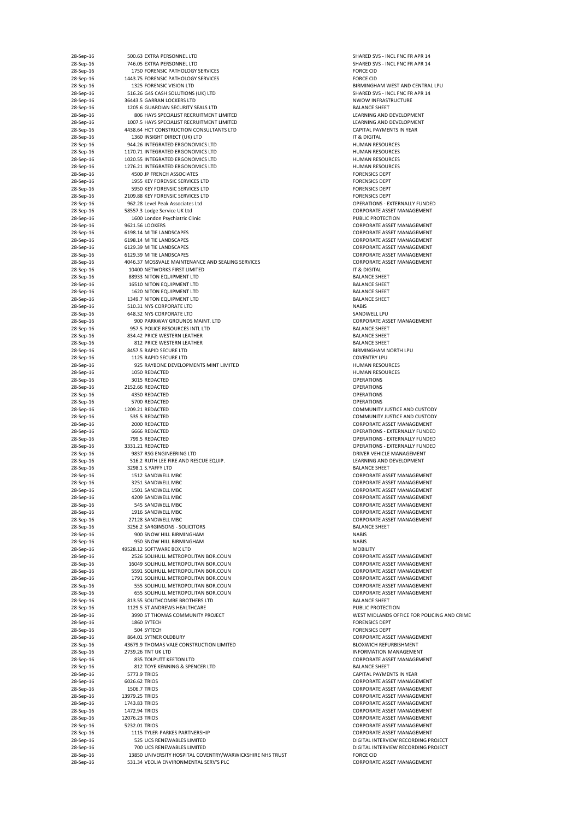| 28-Sep-16 | 500.63 EXTRA PERSONNEL LTD                                | SHARED SVS - INCL FNC FR APR 14             |
|-----------|-----------------------------------------------------------|---------------------------------------------|
| 28-Sep-16 | 746.05 EXTRA PERSONNEL LTD                                | SHARED SVS - INCL FNC FR APR 14             |
| 28-Sep-16 | 1750 FORENSIC PATHOLOGY SERVICES                          | <b>FORCE CID</b>                            |
| 28-Sep-16 | 1443.75 FORENSIC PATHOLOGY SERVICES                       | <b>FORCE CID</b>                            |
| 28-Sep-16 | 1325 FORENSIC VISION LTD                                  | BIRMINGHAM WEST AND CENTRAL LPU             |
| 28-Sep-16 | 516.26 G4S CASH SOLUTIONS (UK) LTD                        | SHARED SVS - INCL FNC FR APR 14             |
| 28-Sep-16 | 36443.5 GARRAN LOCKERS LTD                                | NWOW INFRASTRUCTURE                         |
| 28-Sep-16 | 1205.6 GUARDIAN SECURITY SEALS LTD                        | <b>BALANCE SHEET</b>                        |
| 28-Sep-16 | 806 HAYS SPECIALIST RECRUITMENT LIMITED                   | LEARNING AND DEVELOPMENT                    |
| 28-Sep-16 | 1007.5 HAYS SPECIALIST RECRUITMENT LIMITED                | LEARNING AND DEVELOPMENT                    |
| 28-Sep-16 | 4438.64 HCT CONSTRUCTION CONSULTANTS LTD                  | <b>CAPITAL PAYMENTS IN YEAR</b>             |
| 28-Sep-16 | 1360 INSIGHT DIRECT (UK) LTD                              | IT & DIGITAL                                |
| 28-Sep-16 | 944.26 INTEGRATED ERGONOMICS LTD                          | <b>HUMAN RESOURCES</b>                      |
| 28-Sep-16 | 1170.71 INTEGRATED ERGONOMICS LTD                         | <b>HUMAN RESOURCES</b>                      |
| 28-Sep-16 | 1020.55 INTEGRATED ERGONOMICS LTD                         | <b>HUMAN RESOURCES</b>                      |
| 28-Sep-16 | 1276.21 INTEGRATED ERGONOMICS LTD                         | <b>HUMAN RESOURCES</b>                      |
| 28-Sep-16 | 4500 JP FRENCH ASSOCIATES                                 | <b>FORENSICS DEPT</b>                       |
| 28-Sep-16 | 1955 KEY FORENSIC SERVICES LTD                            | <b>FORENSICS DEPT</b>                       |
| 28-Sep-16 | 5950 KEY FORENSIC SERVICES LTD                            | <b>FORENSICS DEPT</b>                       |
| 28-Sep-16 | 2109.88 KEY FORENSIC SERVICES LTD                         | <b>FORENSICS DEPT</b>                       |
| 28-Sep-16 | 962.28 Level Peak Associates Ltd                          | <b>OPERATIONS - EXTERNALLY FUNDED</b>       |
| 28-Sep-16 | 58557.3 Lodge Service UK Ltd                              | <b>CORPORATE ASSET MANAGEMENT</b>           |
| 28-Sep-16 | 1600 London Psychiatric Clinic                            | PUBLIC PROTECTION                           |
| 28-Sep-16 | 9621.56 LOOKERS                                           | <b>CORPORATE ASSET MANAGEMENT</b>           |
| 28-Sep-16 | 6198.14 MITIE LANDSCAPES                                  | <b>CORPORATE ASSET MANAGEMENT</b>           |
| 28-Sep-16 | 6198.14 MITIE LANDSCAPES                                  | <b>CORPORATE ASSET MANAGEMENT</b>           |
| 28-Sep-16 | 6129.39 MITIE LANDSCAPES                                  | CORPORATE ASSET MANAGEMENT                  |
| 28-Sep-16 | 6129.39 MITIE LANDSCAPES                                  | <b>CORPORATE ASSET MANAGEMENT</b>           |
| 28-Sep-16 | 4046.37 MOSSVALE MAINTENANCE AND SEALING SERVICES         | <b>CORPORATE ASSET MANAGEMENT</b>           |
| 28-Sep-16 | 10400 NETWORKS FIRST LIMITED                              | IT & DIGITAL                                |
| 28-Sep-16 | 88933 NITON EQUIPMENT LTD                                 | <b>BALANCE SHEET</b>                        |
| 28-Sep-16 | <b>16510 NITON EQUIPMENT LTD</b>                          | <b>BALANCE SHEET</b>                        |
| 28-Sep-16 | <b>1620 NITON EQUIPMENT LTD</b>                           | <b>BALANCE SHEET</b>                        |
| 28-Sep-16 | 1349.7 NITON EQUIPMENT LTD                                | <b>BALANCE SHEET</b>                        |
| 28-Sep-16 | 510.31 NYS CORPORATE LTD                                  | <b>NABIS</b>                                |
| 28-Sep-16 | 648.32 NYS CORPORATE LTD                                  | SANDWELL LPU                                |
| 28-Sep-16 | 900 PARKWAY GROUNDS MAINT. LTD                            | <b>CORPORATE ASSET MANAGEMENT</b>           |
|           | 957.5 POLICE RESOURCES INTL LTD                           | <b>BALANCE SHEET</b>                        |
| 28-Sep-16 |                                                           |                                             |
| 28-Sep-16 | 834.42 PRICE WESTERN LEATHER                              | <b>BALANCE SHEET</b>                        |
| 28-Sep-16 | 812 PRICE WESTERN LEATHER                                 | <b>BALANCE SHEET</b>                        |
| 28-Sep-16 | 8457.5 RAPID SECURE LTD                                   | BIRMINGHAM NORTH LPU                        |
| 28-Sep-16 | 1125 RAPID SECURE LTD                                     | <b>COVENTRY LPU</b>                         |
| 28-Sep-16 | 925 RAYBONE DEVELOPMENTS MINT LIMITED                     | <b>HUMAN RESOURCES</b>                      |
| 28-Sep-16 | 1050 REDACTED                                             | <b>HUMAN RESOURCES</b>                      |
| 28-Sep-16 | 3015 REDACTED                                             | <b>OPERATIONS</b>                           |
| 28-Sep-16 | 2152.66 REDACTED                                          | <b>OPERATIONS</b>                           |
| 28-Sep-16 | 4350 REDACTED                                             | <b>OPERATIONS</b>                           |
| 28-Sep-16 | 5700 REDACTED                                             | <b>OPERATIONS</b>                           |
| 28-Sep-16 | 1209.21 REDACTED                                          | <b>COMMUNITY JUSTICE AND CUSTODY</b>        |
| 28-Sep-16 | 535.5 REDACTED                                            | <b>COMMUNITY JUSTICE AND CUSTODY</b>        |
| 28-Sep-16 | 2000 REDACTED                                             | <b>CORPORATE ASSET MANAGEMENT</b>           |
| 28-Sep-16 | 6666 REDACTED                                             | <b>OPERATIONS - EXTERNALLY FUNDED</b>       |
| 28-Sep-16 | 799.5 REDACTED                                            | <b>OPERATIONS - EXTERNALLY FUNDED</b>       |
| 28-Sep-16 | 3331.21 REDACTED                                          | <b>OPERATIONS - EXTERNALLY FUNDED</b>       |
| 28-Sep-16 | 9837 RSG ENGINEERING LTD                                  | DRIVER VEHICLE MANAGEMENT                   |
| 28-Sep-16 | 516.2 RUTH LEE FIRE AND RESCUE EQUIP.                     | LEARNING AND DEVELOPMENT                    |
| 28-Sep-16 | 3298.1 S.YAFFY LTD                                        | <b>BALANCE SHEET</b>                        |
| 28-Sep-16 | 1512 SANDWELL MBC                                         | <b>CORPORATE ASSET MANAGEMENT</b>           |
| 28-Sep-16 |                                                           |                                             |
|           | 3251 SANDWELL MBC                                         | <b>CORPORATE ASSET MANAGEMENT</b>           |
| 28-Sep-16 | 1501 SANDWELL MBC                                         | <b>CORPORATE ASSET MANAGEMENT</b>           |
| 28-Sep-16 | 4209 SANDWELL MBC                                         | <b>CORPORATE ASSET MANAGEMENT</b>           |
| 28-Sep-16 | 545 SANDWELL MBC                                          | <b>CORPORATE ASSET MANAGEMENT</b>           |
| 28-Sep-16 | 1916 SANDWELL MBC                                         | <b>CORPORATE ASSET MANAGEMENT</b>           |
| 28-Sep-16 | 27128 SANDWELL MBC                                        | <b>CORPORATE ASSET MANAGEMENT</b>           |
| 28-Sep-16 | 3256.2 SARGINSONS - SOLICITORS                            | <b>BALANCE SHEET</b>                        |
| 28-Sep-16 | 900 SNOW HILL BIRMINGHAM                                  | <b>NABIS</b>                                |
| 28-Sep-16 | 950 SNOW HILL BIRMINGHAM                                  | <b>NABIS</b>                                |
| 28-Sep-16 | 49528.12 SOFTWARE BOX LTD                                 | <b>MOBILITY</b>                             |
| 28-Sep-16 | 2526 SOLIHULL METROPOLITAN BOR.COUN                       | <b>CORPORATE ASSET MANAGEMENT</b>           |
| 28-Sep-16 | 16049 SOLIHULL METROPOLITAN BOR.COUN                      | <b>CORPORATE ASSET MANAGEMENT</b>           |
| 28-Sep-16 | 5591 SOLIHULL METROPOLITAN BOR.COUN                       | <b>CORPORATE ASSET MANAGEMENT</b>           |
| 28-Sep-16 | 1791 SOLIHULL METROPOLITAN BOR.COUN                       | <b>CORPORATE ASSET MANAGEMENT</b>           |
| 28-Sep-16 | 555 SOLIHULL METROPOLITAN BOR.COUN                        | <b>CORPORATE ASSET MANAGEMENT</b>           |
| 28-Sep-16 | <b>655 SOLIHULL METROPOLITAN BOR.COUN</b>                 | <b>CORPORATE ASSET MANAGEMENT</b>           |
| 28-Sep-16 | 813.55 SOUTHCOMBE BROTHERS LTD                            | <b>BALANCE SHEET</b>                        |
| 28-Sep-16 | 1129.5 ST ANDREWS HEALTHCARE                              | PUBLIC PROTECTION                           |
| 28-Sep-16 | 3990 ST THOMAS COMMUNITY PROJECT                          | WEST MIDLANDS OFFICE FOR POLICING AND CRIME |
| 28-Sep-16 | 1860 SYTECH                                               | <b>FORENSICS DEPT</b>                       |
| 28-Sep-16 | 504 SYTECH                                                | <b>FORENSICS DEPT</b>                       |
|           |                                                           |                                             |
| 28-Sep-16 | 864.01 SYTNER OLDBURY                                     | <b>CORPORATE ASSET MANAGEMENT</b>           |
| 28-Sep-16 | 43679.9 THOMAS VALE CONSTRUCTION LIMITED                  | <b>BLOXWICH REFURBISHMENT</b>               |
| 28-Sep-16 | 2739.26 TNT UK LTD                                        | <b>INFORMATION MANAGEMENT</b>               |
| 28-Sep-16 | 835 TOLPUTT KEETON LTD                                    | <b>CORPORATE ASSET MANAGEMENT</b>           |
| 28-Sep-16 | 812 TOYE KENNING & SPENCER LTD                            | <b>BALANCE SHEET</b>                        |
| 28-Sep-16 | 5773.9 TRIOS                                              | CAPITAL PAYMENTS IN YEAR                    |
| 28-Sep-16 | 6026.62 TRIOS                                             | <b>CORPORATE ASSET MANAGEMENT</b>           |
| 28-Sep-16 | <b>1506.7 TRIOS</b>                                       | <b>CORPORATE ASSET MANAGEMENT</b>           |
| 28-Sep-16 | 13979.25 TRIOS                                            | <b>CORPORATE ASSET MANAGEMENT</b>           |
| 28-Sep-16 | 1743.83 TRIOS                                             | <b>CORPORATE ASSET MANAGEMENT</b>           |
| 28-Sep-16 | <b>1472.94 TRIOS</b>                                      | <b>CORPORATE ASSET MANAGEMENT</b>           |
| 28-Sep-16 | 12076.23 TRIOS                                            | <b>CORPORATE ASSET MANAGEMENT</b>           |
| 28-Sep-16 | 5232.01 TRIOS                                             | <b>CORPORATE ASSET MANAGEMENT</b>           |
| 28-Sep-16 | 1115 TYLER-PARKES PARTNERSHIP                             | <b>CORPORATE ASSET MANAGEMENT</b>           |
| 28-Sep-16 | 525 UCS RENEWABLES LIMITED                                | DIGITAL INTERVIEW RECORDING PROJECT         |
| 28-Sep-16 | 700 UCS RENEWABLES LIMITED                                | DIGITAL INTERVIEW RECORDING PROJECT         |
| 28-Sep-16 | 13850 UNIVERSITY HOSPITAL COVENTRY/WARWICKSHIRE NHS TRUST | <b>FORCE CID</b>                            |
| 28-Sep-16 | 531.34 VEOLIA ENVIRONMENTAL SERV'S PLC                    | CORPORATE ASSET MANAGEMENT                  |